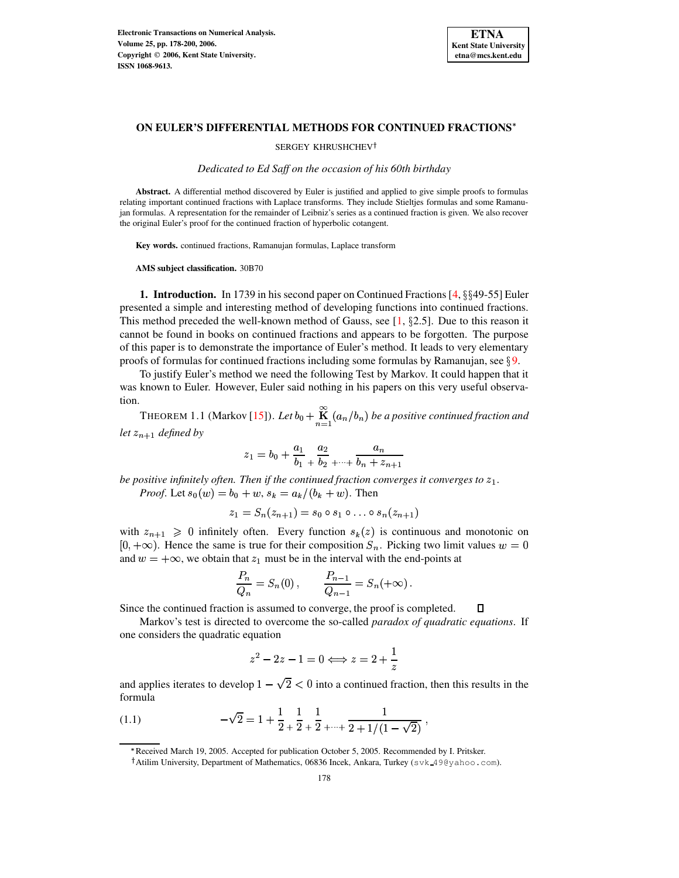

 $\Box$ 

## **ON EULER'S DIFFERENTIAL METHODS FOR CONTINUED FRACTIONS**

## SERGEY KHRUSHCHEV<sup>†</sup>

*Dedicated to Ed Saff on the occasion of his 60th birthday*

**Abstract.** A differential method discovered by Euler is justified and applied to give simple proofs to formulas relating important continued fractions with Laplace transforms. They include Stieltjes formulas and some Ramanujan formulas. A representation for the remainder of Leibniz's series as a continued fraction is given. We also recover the original Euler's proof for the continued fraction of hyperbolic cotangent.

**Key words.** continued fractions, Ramanujan formulas, Laplace transform

**AMS subject classification.** 30B70

<span id="page-0-0"></span>**1. Introduction.** In 1739 in his second paper on Continued Fractions [\[4,](#page-22-0) §§49-55] Euler presented a simple and interesting method of developing functions into continued fractions. This method preceded the well-known method of Gauss, see  $[1, §2.5]$  $[1, §2.5]$ . Due to this reason it cannot be found in books on continued fractions and appears to be forgotten. The purpose of this paper is to demonstrate the importance of Euler's method. It leads to very elementary proofs of formulas for continued fractions including some formulas by Ramanujan, see  $\S$ [9.](#page-13-0)

To justify Euler's method we need the following Test by Markov. It could happen that it was known to Euler. However, Euler said nothing in his papers on this very useful observation.

<span id="page-0-2"></span>THEOREM 1.1 (Markov [\[15\]](#page-22-2)). Let  $b_0 + \overset{\infty}{\mathbf{K}}$   $(a_n/b_n)$  be a positive continued fraction and let  $z_{n+1}$  defined by

$$
z_1 = b_0 + \frac{a_1}{b_1} + \frac{a_2}{b_2} + \dots + \frac{a_n}{b_n + z_{n+1}}
$$

*be positive infinitely often. Then if the continued fraction converges it converges to . Proof.* Let  $s_0(w) = b_0 + w$ ,  $s_k = a_k/(b_k + w)$ . Then

$$
z_1 = S_n(z_{n+1}) = s_0 \circ s_1 \circ \ldots \circ s_n(z_{n+1})
$$

with  $z_{n+1} \geq 0$  infinitely often. Every function  $s_k(z)$  is continuous and monotonic on  $[0, +\infty)$ . Hence the same is true for their composition  $S_n$ . Picking two limit values  $w = 0$ and  $w = +\infty$ , we obtain that  $z_1$  must be in the interval with the end-points at

$$
\frac{P_n}{Q_n} = S_n(0), \qquad \frac{P_{n-1}}{Q_{n-1}} = S_n(+\infty).
$$

Since the continued fraction is assumed to converge, the proof is completed.

Markov's test is directed to overcome the so-called *paradox of quadratic equations*. If one considers the quadratic equation

$$
z^2-2z-1=0 \Longleftrightarrow z=2+\frac{1}{z}
$$

<span id="page-0-1"></span>and applies iterates to develop  $1-\sqrt{2}<0$  into a continued fraction, then this results in the formula

(1.1) 
$$
-\sqrt{2} = 1 + \frac{1}{2} + \frac{1}{2} + \frac{1}{2} + \dots + \frac{1}{2 + 1/(1 - \sqrt{2})},
$$

<sup>\*</sup> Received March 19, 2005. Accepted for publication October 5, 2005. Recommended by I. Pritsker.

Atilim University, Department of Mathematics, 06836 Incek, Ankara, Turkey (svk 49@yahoo.com).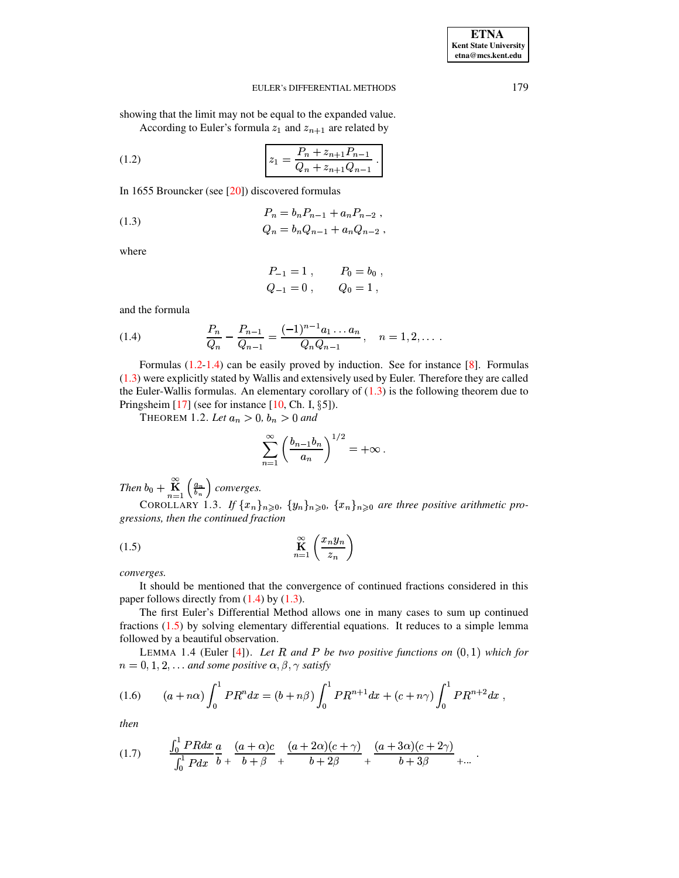showing that the limit may not be equal to the expanded value. According to Euler's formula  $z_1$  and  $z_{n+1}$  are related by

(1.2) 
$$
z_1 = \frac{P_n + z_{n+1}P_{n-1}}{Q_n + z_{n+1}Q_{n-1}}.
$$

In 1655 Brouncker (see [\[20\]](#page-22-3)) discovered formulas

(1.3) 
$$
P_n = b_n P_{n-1} + a_n P_{n-2},
$$

$$
Q_n = b_n Q_{n-1} + a_n Q_{n-2},
$$

where

<span id="page-1-2"></span><span id="page-1-0"></span>
$$
P_{-1} = 1 , \t P_0 = b_0 ,
$$
  

$$
Q_{-1} = 0 , \t Q_0 = 1 ,
$$

<span id="page-1-1"></span>and the formula

(1.4) 
$$
\frac{P_n}{Q_n} - \frac{P_{n-1}}{Q_{n-1}} = \frac{(-1)^{n-1}a_1 \dots a_n}{Q_n Q_{n-1}}, \quad n = 1, 2, \dots
$$

Formulas [\(1.2](#page-1-0)[-1.4\)](#page-1-1) can be easily proved by induction. See for instance [\[8\]](#page-22-4). Formulas [\(1.3\)](#page-1-2) were explicitly stated by Wallis and extensively used by Euler. Therefore they are called the Euler-Wallis formulas. An elementary corollary of  $(1.3)$  is the following theorem due to Pringsheim  $[17]$  (see for instance  $[10, Ch. I, \S 5]$  $[10, Ch. I, \S 5]$ ).

**THEOREM** 1.2. Let  $a_n > 0$ ,  $b_n > 0$  and

<span id="page-1-5"></span>
$$
\sum_{n=1}^{\infty} \left( \frac{b_{n-1}b_n}{a_n} \right)^{1/2} = +\infty.
$$

*Then*  $b_0 + \mathbf{K}_{n=1}^{\infty} \left( \frac{a_n}{b_n} \right)$  *converges.* 

<span id="page-1-3"></span>COROLLARY 1.3. *If*  $\{x_n\}_{n\geqslant0}$ ,  $\{y_n\}_{n\geqslant0}$ ,  $\{x_n\}_{n\geqslant0}$  *are three positive arithmetic progressions, then the continued fraction*

$$
\prod_{n=1}^{\infty} \left( \frac{x_n y_n}{z_n} \right)
$$

*converges.*

It should be mentioned that the convergence of continued fractions considered in this paper follows directly from  $(1.4)$  by  $(1.3)$ .

The first Euler's Differential Method allows one in many cases to sum up continued fractions [\(1.5\)](#page-1-3) by solving elementary differential equations. It reduces to a simple lemma followed by a beautiful observation.

<span id="page-1-4"></span>LEMMA 1.4 (Euler  $[4]$ ). Let R and P be two positive functions on  $(0,1)$  which for  $n = 0, 1, 2, \ldots$  and some positive  $\alpha, \beta, \gamma$  satisfy

(1.6) 
$$
(a + n\alpha) \int_0^1 PR^n dx = (b + n\beta) \int_0^1 PR^{n+1} dx + (c + n\gamma) \int_0^1 PR^{n+2} dx,
$$

*then*

$$
(1.7) \qquad \frac{\int_0^1 P R dx}{\int_0^1 P dx} \frac{a}{b} + \frac{(a+\alpha)c}{b+\beta} + \frac{(a+2\alpha)(c+\gamma)}{b+2\beta} + \frac{(a+3\alpha)(c+2\gamma)}{b+3\beta} + \dots
$$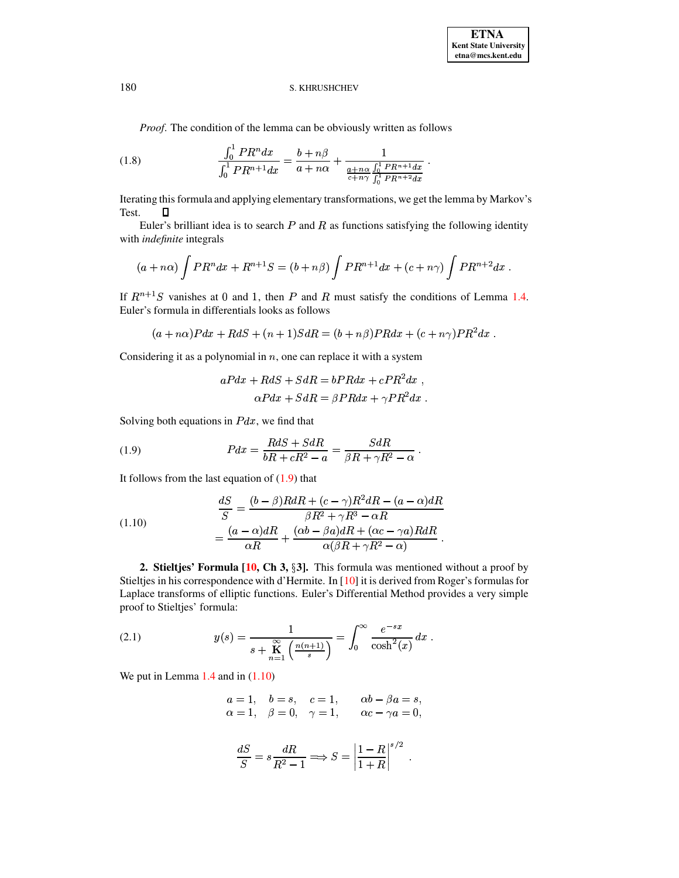*Proof*. The condition of the lemma can be obviously written as follows

(1.8) 
$$
\frac{\int_0^1 PR^n dx}{\int_0^1 PR^{n+1} dx} = \frac{b+n\beta}{a+n\alpha} + \frac{1}{\frac{a+n\alpha}{c+n\gamma} \int_0^1 PR^{n+1} dx}.
$$

Iterating this formula and applying elementary transformations, we get the lemma by Markov's Test.  $\Box$ 

Euler's brilliant idea is to search  $P$  and  $R$  as functions satisfying the following identity with *indefinite* integrals

$$
(a+n\alpha)\int PR^{n}dx + R^{n+1}S = (b+n\beta)\int PR^{n+1}dx + (c+n\gamma)\int PR^{n+2}dx.
$$

If  $R^{n+1}S$  vanishes at 0 and 1, then P and R must satisfy the conditions of Lemma [1.4.](#page-1-4) Euler's formula in differentials looks as follows

$$
(a+n\alpha)Pdx+RdS+(n+1)SdR=(b+n\beta)PRdx+(c+n\gamma)PR^{2}dx.
$$

Considering it as a polynomial in  $n$ , one can replace it with a system

<span id="page-2-1"></span><span id="page-2-0"></span>
$$
aPdx + RdS + SdR = bPRdx + cPR^{2}dx ,
$$
  

$$
\alpha Pdx + SdR = \beta PRdx + \gamma PR^{2}dx .
$$

<sup>1</sup>

Solving both equations in  $Pdx$ , we find that

(1.9) 
$$
Pdx = \frac{RdS + SdR}{bR + cR^2 - a} = \frac{SdR}{\beta R + \gamma R^2 - \alpha}.
$$

It follows from the last equation of  $(1.9)$  that

(1.10)  
\n
$$
\frac{dS}{S} = \frac{(b-\beta)RdR + (c-\gamma)R^2dR - (a-\alpha)dR}{\beta R^2 + \gamma R^3 - \alpha R}
$$
\n
$$
= \frac{(a-\alpha)dR}{\alpha R} + \frac{(\alpha b - \beta a)dR + (\alpha c - \gamma a)RdR}{\alpha(\beta R + \gamma R^2 - \alpha)}.
$$

<span id="page-2-3"></span>**2. Stieltjes' Formula [\[10,](#page-22-6) Ch 3, §3].** This formula was mentioned without a proof by Stieltjes in his correspondence with d'Hermite. In [\[10\]](#page-22-6) it is derived from Roger's formulas for Laplace transforms of elliptic functions. Euler's Differential Method provides a very simple proof to Stieltjes' formula:

<span id="page-2-2"></span>(2.1) 
$$
y(s) = \frac{1}{s + \mathbf{K} \left( \frac{n(n+1)}{s} \right)} = \int_0^\infty \frac{e^{-sx}}{\cosh^2(x)} dx.
$$

We put in Lemma [1.4](#page-1-4) and in  $(1.10)$ 

$$
\begin{array}{lllll} a=1, & b=s, & c=1, & \alpha b-\beta a=s, \\ \alpha=1, & \beta=0, & \gamma=1, & \alpha c-\gamma a=0, \end{array}
$$

$$
\frac{dS}{S} = s \frac{dR}{R^2 - 1} \Longrightarrow S = \left| \frac{1 - R}{1 + R} \right|^{s/2}.
$$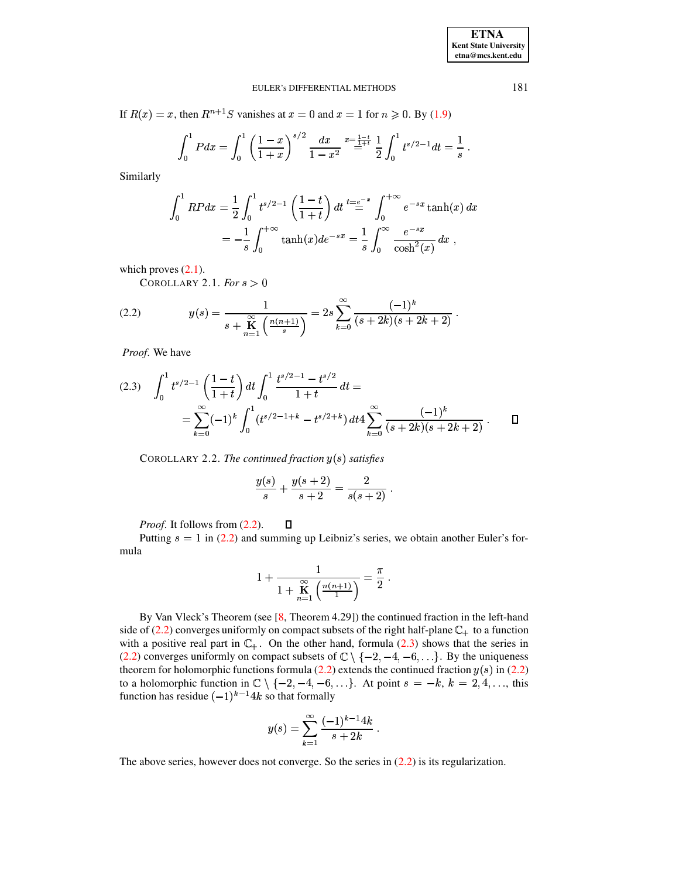<sup>1</sup>

# EULER's DIFFERENTIAL METHODS 181

If  $R(x) = x$ , then  $R^{n+1}S$  vanishes at  $x = 0$  and  $x = 1$  for  $n \ge 0$ . By [\(1.9\)](#page-2-0)

$$
\int_0^1 P dx = \int_0^1 \left(\frac{1-x}{1+x}\right)^{s/2} \frac{dx}{1-x^2} = \frac{x-\frac{1-t}{1+t}}{\frac{1}{2}} \frac{1}{2} \int_0^1 t^{s/2-1} dt = \frac{1}{s}.
$$

Similarly

$$
\int_0^1 RP dx = \frac{1}{2} \int_0^1 t^{s/2 - 1} \left( \frac{1 - t}{1 + t} \right) dt \stackrel{t = e^{-x}}{=} \int_0^{+\infty} e^{-sx} \tanh(x) dx
$$
  
=  $-\frac{1}{s} \int_0^{+\infty} \tanh(x) de^{-sx} = \frac{1}{s} \int_0^{\infty} \frac{e^{-sx}}{\cosh^2(x)} dx$ ,

<span id="page-3-3"></span>which proves  $(2.1)$ .

<span id="page-3-0"></span>COROLLARY 2.1. *For*  $s > 0$ 

(2.2) 
$$
y(s) = \frac{1}{s + \mathbf{K} \choose s + \mathbf{K} \left( \frac{n(n+1)}{s} \right)} = 2s \sum_{k=0}^{\infty} \frac{(-1)^k}{(s + 2k)(s + 2k + 2)}.
$$

*Proof*. We have

<span id="page-3-1"></span>
$$
(2.3) \quad \int_0^1 t^{s/2-1} \left(\frac{1-t}{1+t}\right) dt \int_0^1 \frac{t^{s/2-1} - t^{s/2}}{1+t} dt =
$$
  
= 
$$
\sum_{k=0}^\infty (-1)^k \int_0^1 (t^{s/2-1+k} - t^{s/2+k}) dt 4 \sum_{k=0}^\infty \frac{(-1)^k}{(s+2k)(s+2k+2)}.
$$

<span id="page-3-2"></span> $C$ OROLLARY 2.2. *The continued fraction*  $y(s)$  satisfies

$$
\frac{y(s)}{s} + \frac{y(s+2)}{s+2} = \frac{2}{s(s+2)}.
$$

 $\Box$ *Proof*. It follows from [\(2.2\)](#page-3-0).

Putting  $s = 1$  in [\(2.2\)](#page-3-0) and summing up Leibniz's series, we obtain another Euler's formula

$$
1+\frac{1}{1+\mathop{\bf K}\limits_{n=1}^\infty\left(\frac{n(n+1)}{1}\right)}=\frac{\pi}{2}\;.
$$

By Van Vleck's Theorem (see [\[8,](#page-22-4) Theorem 4.29]) the continued fraction in the left-hand side of [\(2.2\)](#page-3-0) converges uniformly on compact subsets of the right half-plane  $\mathbb{C}_+$  to a function with a positive real part in  $\mathbb{C}_+$ . On the other hand, formula [\(2.3\)](#page-3-1) shows that the series in [\(2.2\)](#page-3-0) converges uniformly on compact subsets of  $\mathbb{C} \setminus \{-2, -4, -6, \ldots\}$ . By the uniqueness theorem for holomorphic functions formula [\(2.2\)](#page-3-0) extends the continued fraction  $y(s)$  in (2.2) to a holomorphic function in  $\mathbb{C} \setminus \{-2, -4, -6, \ldots\}$ . At point  $s = -k, k = 2, 4, \ldots$ , this function has residue  $(-1)^{k-1}4k$  so that formally

$$
y(s) = \sum_{k=1}^{\infty} \frac{(-1)^{k-1} 4k}{s+2k}.
$$

The above series, however does not converge. So the series in [\(2.2\)](#page-3-0) is its regularization.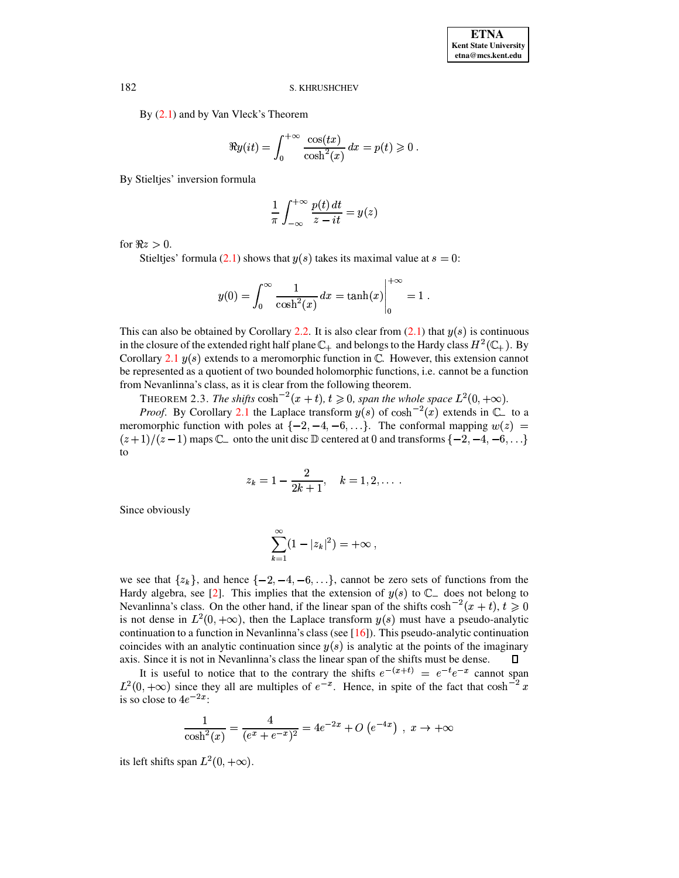By  $(2.1)$  and by Van Vleck's Theorem

$$
\Re y(it) = \int_0^{+\infty} \frac{\cos(tx)}{\cosh^2(x)} dx = p(t) \geqslant 0.
$$

By Stieltjes' inversion formula

$$
\frac{1}{\pi} \int_{-\infty}^{+\infty} \frac{p(t) dt}{z - it} = y(z)
$$

for  $\Re z > 0$ .

Stieltjes' formula [\(2.1\)](#page-2-2) shows that  $y(s)$  takes its maximal value at  $s = 0$ :

$$
y(0)=\int_0^\infty\frac{1}{\cosh^2(x)}\,dx=\tanh(x)\Bigg|_0^{+\infty}=1\;.
$$

This can also be obtained by Corollary [2.2.](#page-3-2) It is also clear from  $(2.1)$  that  $y(s)$  is continuous in the closure of the extended right half plane  $\mathbb{C}_+$  and belongs to the Hardy class  $H^2(\mathbb{C}_+)$ . By Corollary [2.1](#page-3-3)  $y(s)$  extends to a meromorphic function in  $\mathbb{C}$ . However, this extension cannot be represented as a quotient of two bounded holomorphic functions, i.e. cannot be a function from Nevanlinna's class, as it is clear from the following theorem.

THEOREM 2.3. *The shifts*  $\cosh^{-2}(x+t)$ ,  $t \ge 0$ , span the whole space  $L^2(0, +\infty)$ .

*Proof.* By Corollary [2.1](#page-3-3) the Laplace transform  $y(s)$  of  $\cosh^{-2}(x)$  extends in  $\mathbb{C}_-$  to a meromorphic function with poles at  $\{-2, -4, -6, \ldots\}$ . The conformal mapping  $w(z) =$  $(z+1)/(z-1)$  maps  $\mathbb{C}_-$  onto the unit disc  $\mathbb D$  centered at 0 and transforms  $\{-2, -4, -6, \ldots\}$ to

$$
z_k = 1 - \frac{2}{2k+1}, \quad k = 1, 2, \dots
$$

Since obviously

$$
\sum_{k=1}^{\infty} (1-|z_k|^2) = +\infty ,
$$

we see that  $\{z_k\}$ , and hence  $\{-2, -4, -6, \ldots\}$ , cannot be zero sets of functions from the Hardy algebra, see [\[2\]](#page-22-7). This implies that the extension of  $y(s)$  to  $\mathbb{C}_-$  does not belong to Nevanlinna's class. On the other hand, if the linear span of the shifts  $\cosh^{-2}(x+t)$ ,  $t \ge 0$ is not dense in  $L^2(0, +\infty)$ , then the Laplace transform  $y(s)$  must have a pseudo-analytic continuation to a function in Nevanlinna's class (see [\[16\]](#page-22-8)). This pseudo-analytic continuation coincides with an analytic continuation since  $y(s)$  is analytic at the points of the imaginary axis. Since it is not in Nevanlinna's class the linear span of the shifts must be dense.  $\Box$ 

It is useful to notice that to the contrary the shifts  $e^{-(x+t)} = e^{-t}e^{-x}$  cannot span  $e^{-(x+t)} = e^{-t}e^{-x}$  cannot s<br>in spite of the fact that cosh  $L^2(0, +\infty)$  since they all are multiples of  $e^{-x}$ . Hence, in spite of the fact that  $\cosh^{-2} x$  is so close to  $4e^{-2x}$ : is so close to  $4e^{-2x}$ :

$$
\frac{1}{\cosh^2(x)} = \frac{4}{(e^x + e^{-x})^2} = 4e^{-2x} + O(e^{-4x}), \ x \to +\infty
$$

its left shifts span  $L^2(0, +\infty)$ .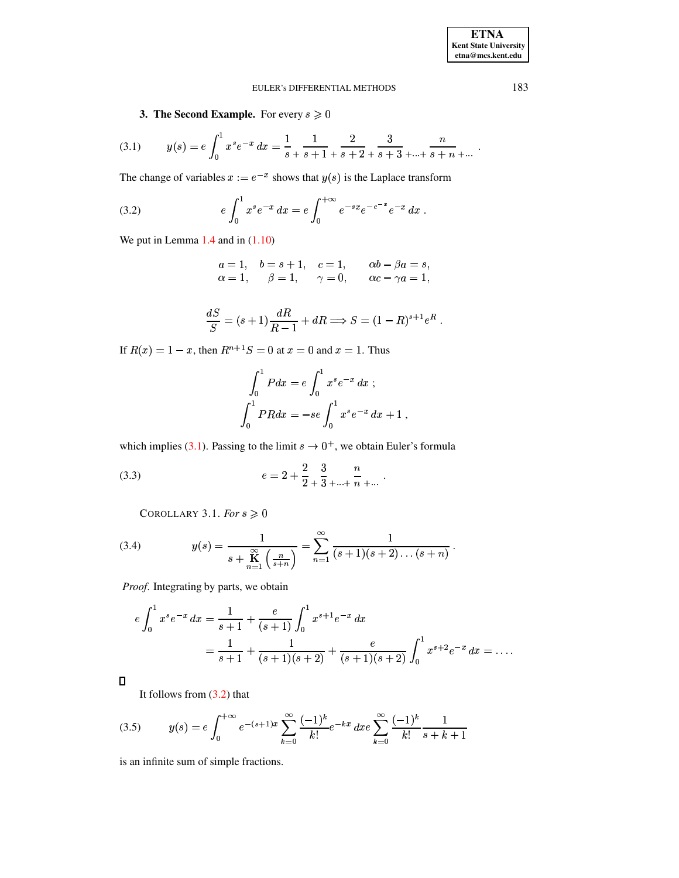<span id="page-5-0"></span>**3. The Second Example.** For every  $s \ge 0$ 

$$
(3.1) \t y(s) = e \int_0^1 x^s e^{-x} dx = \frac{1}{s+1} \frac{1}{s+2} + \frac{2}{s+3} \frac{3}{s+3} + \dots + \frac{n}{s+n} + \dots
$$

The change of variables  $x := e^{-x}$  shows that  $y(s)$  is the Laplace transform

(3.2) 
$$
e\int_0^1 x^s e^{-x} dx = e\int_0^{+\infty} e^{-sx} e^{-e^{-x}} e^{-x} dx.
$$

We put in Lemma  $1.4$  and in  $(1.10)$ 

<span id="page-5-1"></span>
$$
a = 1
$$
,  $b = s + 1$ ,  $c = 1$ ,  $\alpha b - \beta a = s$ ,  
\n $\alpha = 1$ ,  $\beta = 1$ ,  $\gamma = 0$ ,  $\alpha c - \gamma a = 1$ ,

$$
\frac{dS}{S} = (s+1)\frac{dR}{R-1} + dR \Longrightarrow S = (1-R)^{s+1}e^R.
$$

If  $R(x) = 1 - x$ , then  $R^{n+1}S = 0$  at  $x = 0$  and  $x = 1$ . Thus

$$
\int_0^1 P dx = e \int_0^1 x^s e^{-x} dx ;
$$
  

$$
\int_0^1 P R dx = -se \int_0^1 x^s e^{-x} dx + 1 ,
$$

which implies (3.1). Passing to the limit  $s \to 0^+$ , we obtain Euler's formula

(3.3) 
$$
e = 2 + \frac{2}{2} + \frac{3}{3} + \dots + \frac{n}{n} + \dots
$$

COROLLARY 3.1. For  $s \geqslant 0$ 

(3.4) 
$$
y(s) = \frac{1}{s + \mathbf{K} \choose s + n} = \sum_{n=1}^{\infty} \frac{1}{(s+1)(s+2)\dots(s+n)}.
$$

Proof. Integrating by parts, we obtain

$$
e \int_0^1 x^s e^{-x} dx = \frac{1}{s+1} + \frac{e}{(s+1)} \int_0^1 x^{s+1} e^{-x} dx
$$
  
=  $\frac{1}{s+1} + \frac{1}{(s+1)(s+2)} + \frac{e}{(s+1)(s+2)} \int_0^1 x^{s+2} e^{-x} dx = \dots$ 

 $\Box$ 

<span id="page-5-2"></span>It follows from  $(3.2)$  that

$$
(3.5) \t y(s) = e \int_0^{+\infty} e^{-(s+1)x} \sum_{k=0}^{\infty} \frac{(-1)^k}{k!} e^{-kx} dx e \sum_{k=0}^{\infty} \frac{(-1)^k}{k!} \frac{1}{s+k+1}
$$

is an infinite sum of simple fractions.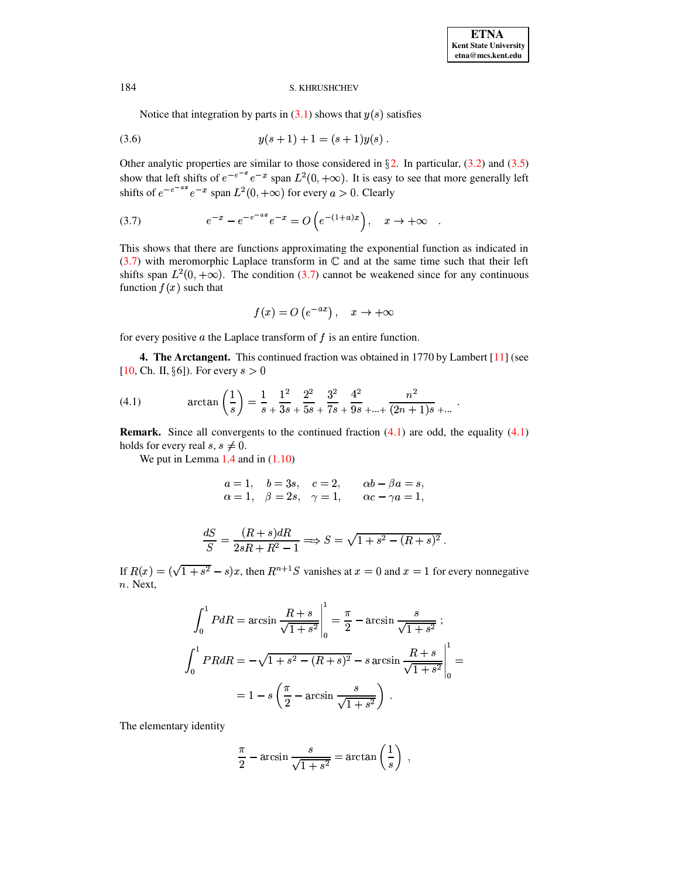Notice that integration by parts in  $(3.1)$  shows that  $y(s)$  satisfies

$$
(3.6) \t\t y(s+1) + 1 = (s+1)y(s) .
$$

Other analytic properties are similar to those considered in  $\S$ 2. In particular, (3.2) and (3.5) show that left shifts of  $e^{-e^{-x}}e^{-x}$  span  $L^2(0, +\infty)$ . It is easy to see that more generally left shifts of  $e^{-e^{-ax}}e^{-x}$  span  $L^2(0, +\infty)$  for every  $a > 0$ . Clearly

(3.7) 
$$
e^{-x} - e^{-e^{-ax}}e^{-x} = O(e^{-(1+a)x}), \quad x \to +\infty
$$

This shows that there are functions approximating the exponential function as indicated in  $(3.7)$  with meromorphic Laplace transform in  $\mathbb C$  and at the same time such that their left shifts span  $L^2(0, +\infty)$ . The condition (3.7) cannot be weakened since for any continuous function  $f(x)$  such that

<span id="page-6-0"></span>
$$
f(x) = O\left(e^{-ax}\right), \quad x \to +\infty
$$

for every positive  $a$  the Laplace transform of  $f$  is an entire function.

<span id="page-6-1"></span>**4. The Arctangent.** This continued fraction was obtained in 1770 by Lambert [11] (see [10, Ch. II, §6]). For every  $s > 0$ 

(4.1) 
$$
\arctan\left(\frac{1}{s}\right) = \frac{1}{s} + \frac{1^2}{3s} + \frac{2^2}{5s} + \frac{3^2}{7s} + \frac{4^2}{9s} + \dots + \frac{n^2}{(2n+1)s} + \dots
$$

**Remark.** Since all convergents to the continued fraction  $(4.1)$  are odd, the equality  $(4.1)$ holds for every real  $s, s \neq 0$ .

We put in Lemma  $1.4$  and in  $(1.10)$ 

$$
a = 1
$$
,  $b = 3s$ ,  $c = 2$ ,  $\alpha b - \beta a = s$ ,  
\n $\alpha = 1$ ,  $\beta = 2s$ ,  $\gamma = 1$ ,  $\alpha c - \gamma a = 1$ ,

$$
\frac{dS}{S} = \frac{(R+s)dR}{2sR+R^2-1} \Longrightarrow S = \sqrt{1+s^2-(R+s)^2}.
$$

If  $R(x) = (\sqrt{1+s^2} - s)x$ , then  $R^{n+1}S$  vanishes at  $x = 0$  and  $x = 1$  for every nonnegative  $n.$  Next,

$$
\int_0^1 P dR = \arcsin \frac{R+s}{\sqrt{1+s^2}} \Big|_0^1 = \frac{\pi}{2} - \arcsin \frac{s}{\sqrt{1+s^2}};
$$
  

$$
\int_0^1 P R dR = -\sqrt{1+s^2 - (R+s)^2} - s \arcsin \frac{R+s}{\sqrt{1+s^2}} \Big|_0^1 =
$$
  

$$
= 1 - s \left( \frac{\pi}{2} - \arcsin \frac{s}{\sqrt{1+s^2}} \right) .
$$

The elementary identity

$$
\frac{\pi}{2} - \arcsin \frac{s}{\sqrt{1+s^2}} = \arctan\left(\frac{1}{s}\right)
$$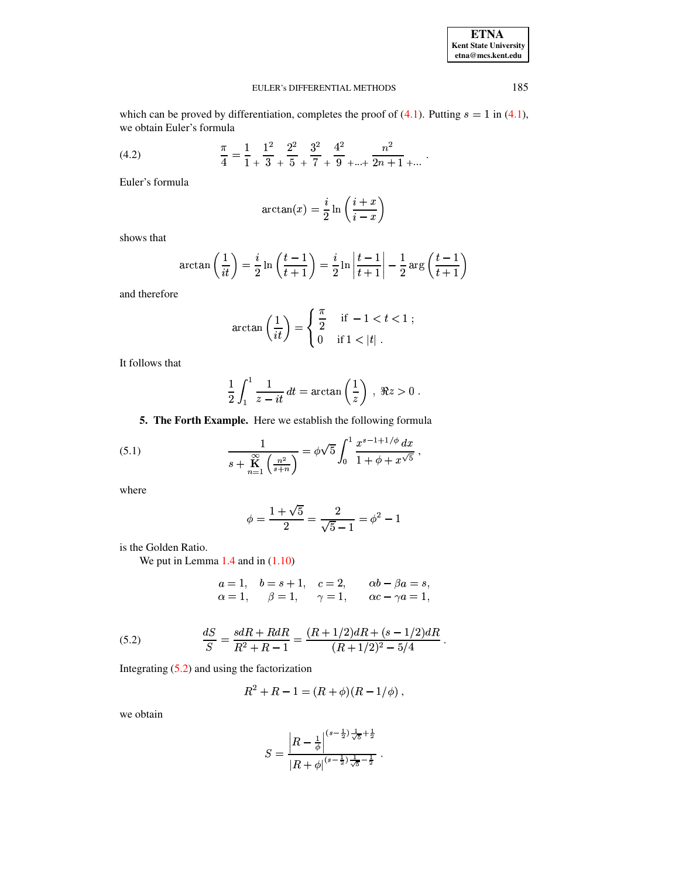| <b>ETNA</b>                  |
|------------------------------|
| <b>Kent State University</b> |
| etna@mcs.kent.edu            |

 $\ddot{\phantom{0}}$ 

#### EULER's DIFFERENTIAL METHODS

which can be proved by differentiation, completes the proof of  $(4.1)$ . Putting  $s = 1$  in  $(4.1)$ , we obtain Euler's formula

(4.2) 
$$
\frac{\pi}{4} = \frac{1}{1} + \frac{1^2}{3} + \frac{2^2}{5} + \frac{3^2}{7} + \frac{4^2}{9} + \dots + \frac{n^2}{2n+1} + \dots
$$

Euler's formula

$$
\arctan(x) = \frac{i}{2} \ln\left(\frac{i+x}{i-x}\right)
$$

shows that

$$
\arctan\left(\frac{1}{it}\right) = \frac{i}{2}\ln\left(\frac{t-1}{t+1}\right) = \frac{i}{2}\ln\left|\frac{t-1}{t+1}\right| - \frac{1}{2}\arg\left(\frac{t-1}{t+1}\right)
$$

and therefore

$$
\arctan\left(\frac{1}{it}\right) = \begin{cases} \frac{\pi}{2} & \text{if } -1 < t < 1; \\ 0 & \text{if } 1 < |t| \end{cases}
$$

It follows that

<span id="page-7-1"></span>
$$
\frac{1}{2}\int_1^1 \frac{1}{z-it} dt = \arctan\left(\frac{1}{z}\right) , \ \Re z > 0 .
$$

5. The Forth Example. Here we establish the following formula

(5.1) 
$$
\frac{1}{s + \mathop{\mathbb{K}}\limits_{n=1}^{\infty} \left(\frac{n^2}{s+n}\right)} = \phi \sqrt{5} \int_0^1 \frac{x^{s-1+1/\phi} dx}{1 + \phi + x^{\sqrt{5}}},
$$

where

$$
\phi = \frac{1+\sqrt{5}}{2} = \frac{2}{\sqrt{5}-1} = \phi^2 - 1
$$

is the Golden Ratio.

We put in Lemma  $1.4$  and in  $(1.10)$ 

$$
\begin{array}{llll} a=1, & b=s+1, & c=2, & \alpha b-\beta a=s, \\ \alpha=1, & \beta=1, & \gamma=1, & \alpha c-\gamma a=1, \end{array}
$$

<span id="page-7-0"></span>(5.2) 
$$
\frac{dS}{S} = \frac{s dR + R dR}{R^2 + R - 1} = \frac{(R + 1/2)dR + (s - 1/2)dR}{(R + 1/2)^2 - 5/4}.
$$

Integrating  $(5.2)$  and using the factorization

$$
R^2 + R - 1 = (R + \phi)(R - 1/\phi) ,
$$

we obtain

$$
S = \frac{\left|R - \frac{1}{\phi}\right|^{(s-\frac{1}{2})\frac{1}{\sqrt{5}} + \frac{1}{2}}}{\left|R + \phi\right|^{(s-\frac{1}{2})\frac{1}{\sqrt{5}} - \frac{1}{2}}}.
$$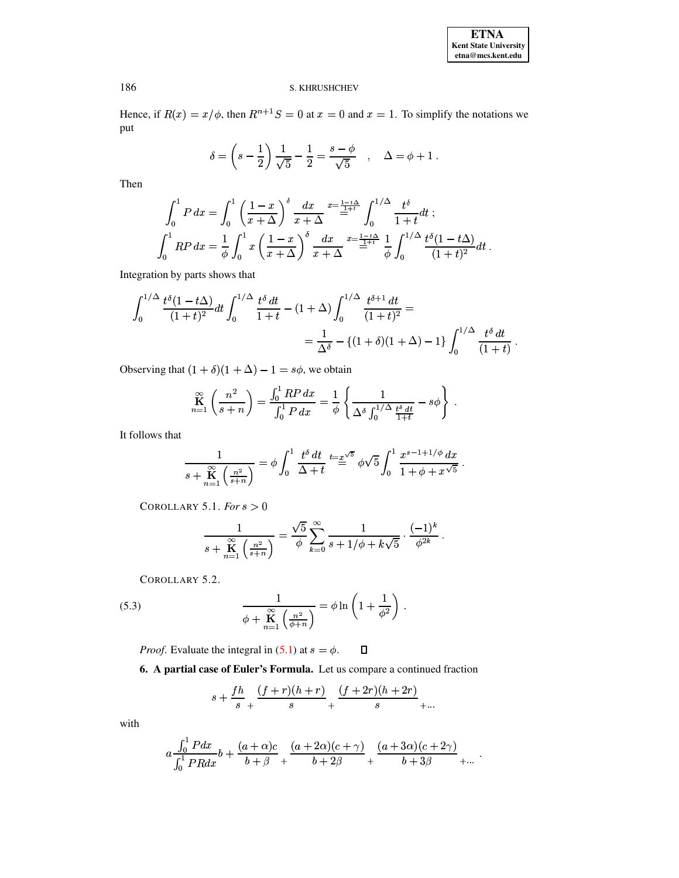Hence, if  $R(x) = x/\phi$ , then  $R^{n+1}S = 0$  at  $x = 0$  and  $x = 1$ . To simplify the notations we put

$$
\delta = \left(s - \frac{1}{2}\right) \frac{1}{\sqrt{5}} - \frac{1}{2} = \frac{s - \phi}{\sqrt{5}}
$$
,  $\Delta = \phi + 1$ .

Then

$$
\int_0^1 P dx = \int_0^1 \left(\frac{1-x}{x+\Delta}\right)^{\delta} \frac{dx}{x+\Delta} \stackrel{x=\frac{1-t\Delta}{1+t}}{=} \int_0^{1/\Delta} \frac{t^{\delta}}{1+t} dt ;
$$
  

$$
\int_0^1 R P dx = \frac{1}{\phi} \int_0^1 x \left(\frac{1-x}{x+\Delta}\right)^{\delta} \frac{dx}{x+\Delta} \stackrel{x=\frac{1-t\Delta}{1+t}}{=} \frac{1}{\phi} \int_0^{1/\Delta} \frac{t^{\delta} (1-t\Delta)}{(1+t)^2} dt .
$$

Integration by parts shows that

$$
\int_0^{1/\Delta} \frac{t^{\delta}(1-t\Delta)}{(1+t)^2} dt \int_0^{1/\Delta} \frac{t^{\delta} dt}{1+t} - (1+\Delta) \int_0^{1/\Delta} \frac{t^{\delta+1} dt}{(1+t)^2} =
$$
  
= 
$$
\frac{1}{\Delta^{\delta}} - \{(1+\delta)(1+\Delta) - 1\} \int_0^{1/\Delta} \frac{t^{\delta} dt}{(1+t)}
$$

Observing that  $(1 + \delta)(1 + \Delta) - 1 = s\phi$ , we obtain

$$
\mathop{\bf K}_{n=1}^{\infty} \left( \frac{n^2}{s+n} \right) = \frac{\int_0^1 RP \, dx}{\int_0^1 P \, dx} = \frac{1}{\phi} \left\{ \frac{1}{\Delta^{\delta} \int_0^{1/\Delta} \frac{t^{\delta} \, dt}{1+t}} - s\phi \right\} \; .
$$

It follows that

$$
\frac{1}{s + \mathop{\mathbb{K}}\limits_{n=1}^{\infty} \left(\frac{n^2}{s+n}\right)} = \phi \int_0^1 \frac{t^{\delta} dt}{\Delta + t} \stackrel{t = x^{\sqrt{5}}}{=} \phi \sqrt{5} \int_0^1 \frac{x^{s-1+1/\phi} dx}{1 + \phi + x^{\sqrt{5}}}
$$

COROLLARY 5.1. For  $s > 0$ 

$$
\frac{1}{s + \mathop{\mathbf{K}}\limits_{n=1}^{\infty} \left(\frac{n^2}{s+n}\right)} = \frac{\sqrt{5}}{\phi} \sum_{k=0}^{\infty} \frac{1}{s + 1/\phi + k\sqrt{5}} \cdot \frac{(-1)^k}{\phi^{2k}}.
$$

COROLLARY 5.2.

(5.3) 
$$
\frac{1}{\phi + \mathbf{K} \choose \phi + \mathbf{K} \choose \phi + n} = \phi \ln \left( 1 + \frac{1}{\phi^2} \right).
$$

*Proof.* Evaluate the integral in (5.1) at  $s = \phi$ .  $\Box$ 

6. A partial case of Euler's Formula. Let us compare a continued fraction

$$
s + \frac{fh}{s} + \frac{(f+r)(h+r)}{s} + \frac{(f+2r)(h+2r)}{s} + \cdots
$$

with

$$
a\frac{\int_0^1 Pdx}{\int_0^1 PRdx}b + \frac{(a+\alpha)c}{b+\beta} + \frac{(a+2\alpha)(c+\gamma)}{b+2\beta} + \frac{(a+3\alpha)(c+2\gamma)}{b+3\beta} + \dots
$$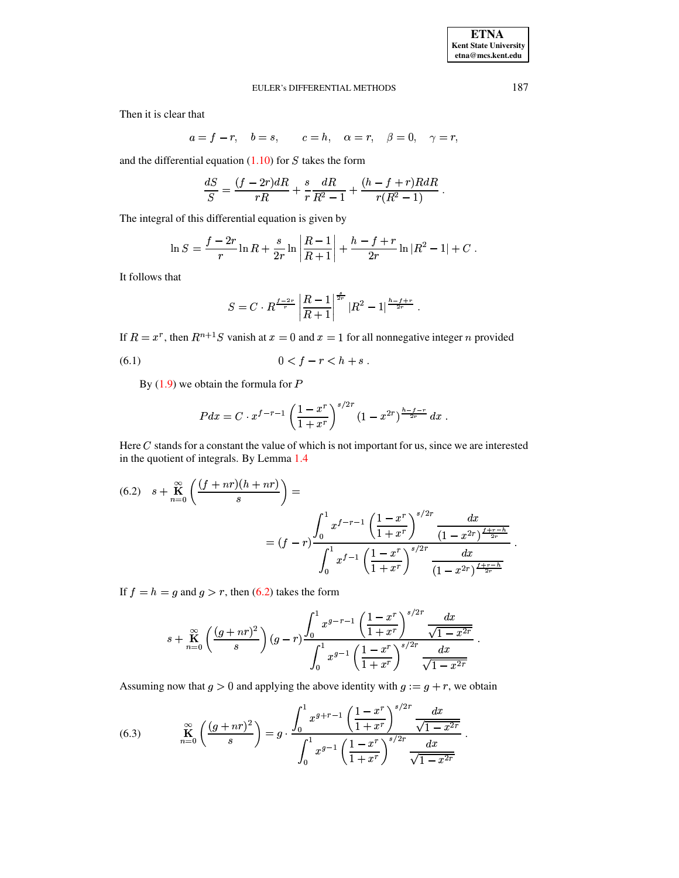Then it is clear that

$$
a = f - r, \quad b = s, \qquad c = h, \quad \alpha = r, \quad \beta = 0, \quad \gamma = r
$$

and the differential equation  $(1.10)$  for S takes the form

$$
\frac{dS}{S} = \frac{(f-2r) dR}{rR} + \frac{s}{r} \frac{dR}{R^2 - 1} + \frac{(h-f+r)R dR}{r(R^2 - 1)}.
$$

The integral of this differential equation is given by

$$
\ln S = \frac{f - 2r}{r} \ln R + \frac{s}{2r} \ln \left| \frac{R - 1}{R + 1} \right| + \frac{h - f + r}{2r} \ln |R^2 - 1| + C.
$$

It follows that

$$
S = C \cdot R^{\frac{f-2r}{r}} \left| \frac{R-1}{R+1} \right|^{\frac{s}{2r}} |R^2 - 1|^{\frac{h-f+r}{2r}}.
$$

If  $R = x^r$ , then  $R^{n+1}S$  vanish at  $x = 0$  and  $x = 1$  for all nonnegative integer n provided

(6.1) 
$$
0 < f - r < h + s.
$$

By  $(1.9)$  we obtain the formula for P

$$
Pdx = C \cdot x^{f-r-1} \left(\frac{1-x^r}{1+x^r}\right)^{s/2r} \left(1-x^{2r}\right)^{\frac{h-f-r}{2r}} dx.
$$

Here  $C$  stands for a constant the value of which is not important for us, since we are interested in the quotient of integrals. By Lemma 1.4

<span id="page-9-0"></span>
$$
(6.2) \quad s + \sum_{n=0}^{\infty} \left( \frac{(f+nr)(h+nr)}{s} \right) =
$$
\n
$$
= (f-r) \frac{\int_0^1 x^{f-r-1} \left( \frac{1-x^r}{1+x^r} \right)^{s/2r} \frac{dx}{(1-x^{2r})^{\frac{f+r-h}{2r}}}}{\int_0^1 x^{f-1} \left( \frac{1-x^r}{1+x^r} \right)^{s/2r} \frac{dx}{(1-x^{2r})^{\frac{f+r-h}{2r}}}}
$$

If  $f = h = g$  and  $g > r$ , then (6.2) takes the form

<span id="page-9-1"></span>
$$
s + \mathop{\mathbf{K}}_{n=0}^{\infty} \left( \frac{(g+nr)^2}{s}\right)(g-r) \frac{\displaystyle \int_0^1 x^{g-r-1} \left( \frac{1-x^r}{1+x^r} \right)^{s/2r} \frac{dx}{\sqrt{1-x^{2r}}} }{\displaystyle \int_0^1 x^{g-1} \left( \frac{1-x^r}{1+x^r} \right)^{s/2r} \frac{dx}{\sqrt{1-x^{2r}}} }
$$

Assuming now that  $g > 0$  and applying the above identity with  $g := g + r$ , we obtain

(6.3) 
$$
\mathop{\mathbf{K}}_{n=0}^{\infty} \left( \frac{(g+nr)^2}{s} \right) = g \cdot \frac{\int_0^1 x^{g+r-1} \left( \frac{1-x^r}{1+x^r} \right)^{s/2r} \frac{dx}{\sqrt{1-x^{2r}}}}{\int_0^1 x^{g-1} \left( \frac{1-x^r}{1+x^r} \right)^{s/2r} \frac{dx}{\sqrt{1-x^{2r}}} }
$$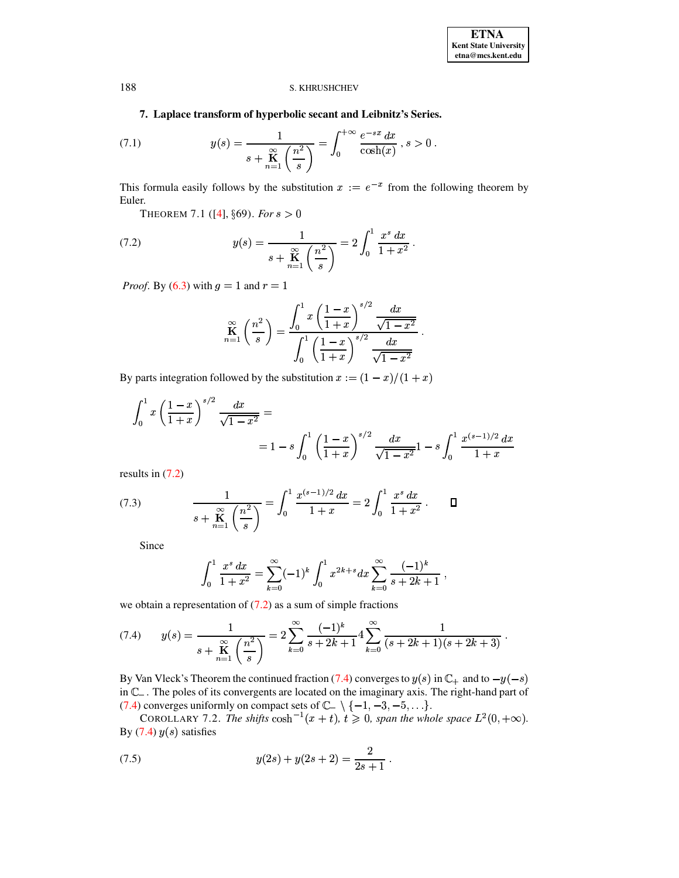# 7. Laplace transform of hyperbolic secant and Leibnitz's Series.

(7.1) 
$$
y(s) = \frac{1}{s + \mathop{\mathbb{R}}_{n=1}^{\infty} \left(\frac{n^2}{s}\right)} = \int_0^{+\infty} \frac{e^{-sx} dx}{\cosh(x)}, s > 0.
$$

This formula easily follows by the substitution  $x := e^{-x}$  from the following theorem by Euler.

<span id="page-10-0"></span>THEOREM 7.1 ([4],  $\S69$ ). For  $s > 0$ 

(7.2) 
$$
y(s) = \frac{1}{s + \mathop{\mathbb{R}}_{n=1}^{\infty} \left(\frac{n^2}{s}\right)} = 2 \int_0^1 \frac{x^s dx}{1 + x^2}.
$$

*Proof.* By (6.3) with  $g = 1$  and  $r = 1$ 

$$
\mathop{\mathbf{K}}_{n=1}^{\infty} \left(\frac{n^2}{s}\right) = \frac{\int_0^1 x \left(\frac{1-x}{1+x}\right)^{s/2} \frac{dx}{\sqrt{1-x^2}}}{\int_0^1 \left(\frac{1-x}{1+x}\right)^{s/2} \frac{dx}{\sqrt{1-x^2}}}.
$$

By parts integration followed by the substitution  $x := (1 - x)/(1 + x)$ 

$$
\int_0^1 x \left( \frac{1-x}{1+x} \right)^{s/2} \frac{dx}{\sqrt{1-x^2}} =
$$
  
=  $1 - s \int_0^1 \left( \frac{1-x}{1+x} \right)^{s/2} \frac{dx}{\sqrt{1-x^2}} - s \int_0^1 \frac{x^{(s-1)/2} dx}{1+x}$ 

<span id="page-10-3"></span>results in  $(7.2)$ 

(7.3) 
$$
\frac{1}{s + \mathop{\mathbb{R}}_{n=1}^{\infty} \left(\frac{n^2}{s}\right)} = \int_0^1 \frac{x^{(s-1)/2} dx}{1+x} = 2 \int_0^1 \frac{x^s dx}{1+x^2} . \qquad \Box
$$

Since

<span id="page-10-1"></span>
$$
\int_0^1 \frac{x^s \, dx}{1+x^2} = \sum_{k=0}^\infty (-1)^k \int_0^1 x^{2k+s} \, dx \sum_{k=0}^\infty \frac{(-1)^k}{s+2k+1} \; ,
$$

we obtain a representation of  $(7.2)$  as a sum of simple fractions

$$
(7.4) \qquad y(s) = \frac{1}{s + \frac{\mathcal{R}}{\mathcal{R}} \left(\frac{n^2}{s}\right)} = 2 \sum_{k=0}^{\infty} \frac{(-1)^k}{s + 2k + 1} 4 \sum_{k=0}^{\infty} \frac{1}{(s + 2k + 1)(s + 2k + 3)}
$$

By Van Vleck's Theorem the continued fraction (7.4) converges to  $y(s)$  in  $\mathbb{C}_+$  and to  $-y(-s)$ in  $\mathbb{C}_-$ . The poles of its convergents are located on the imaginary axis. The right-hand part of (7.4) converges uniformly on compact sets of  $\mathbb{C}_{-} \setminus \{-1, -3, -5, \ldots\}.$ 

<span id="page-10-2"></span>COROLLARY 7.2. The shifts  $\cosh^{-1}(x+t)$ ,  $t \ge 0$ , span the whole space  $L^2(0, +\infty)$ . By  $(7.4)$   $y(s)$  satisfies

(7.5) 
$$
y(2s) + y(2s + 2) = \frac{2}{2s + 1}.
$$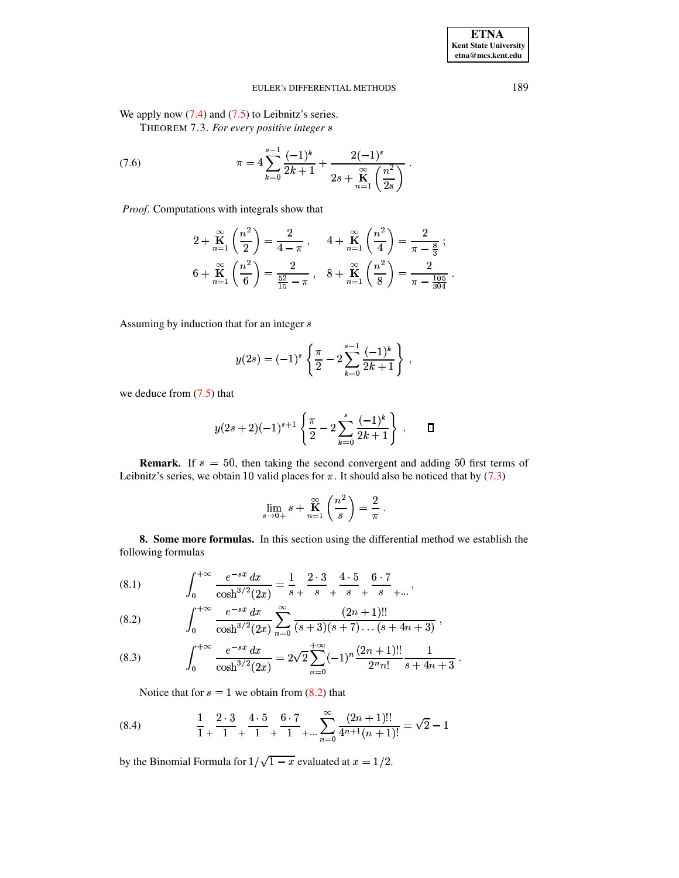We apply now  $(7.4)$  and  $(7.5)$  to Leibnitz's series.

THEOREM 7.3. For every positive integer s

(7.6) 
$$
\pi = 4 \sum_{k=0}^{s-1} \frac{(-1)^k}{2k+1} + \frac{2(-1)^s}{2s + \sum_{n=1}^{\infty} \left(\frac{n^2}{2s}\right)}.
$$

Proof. Computations with integrals show that

$$
2 + \mathop{K}_{n=1}^{\infty} \left(\frac{n^2}{2}\right) = \frac{2}{4-\pi}, \quad 4 + \mathop{K}_{n=1}^{\infty} \left(\frac{n^2}{4}\right) = \frac{2}{\pi - \frac{8}{3}};
$$
  

$$
6 + \mathop{K}_{n=1}^{\infty} \left(\frac{n^2}{6}\right) = \frac{2}{\frac{52}{15} - \pi}, \quad 8 + \mathop{K}_{n=1}^{\infty} \left(\frac{n^2}{8}\right) = \frac{2}{\pi - \frac{105}{304}}
$$

Assuming by induction that for an integer s

$$
y(2s) = (-1)^s \left\{ \frac{\pi}{2} - 2 \sum_{k=0}^{s-1} \frac{(-1)^k}{2k+1} \right\},\,
$$

we deduce from  $(7.5)$  that

$$
y(2s+2)(-1)^{s+1}\left\{\frac{\pi}{2}-2\sum_{k=0}^{s}\frac{(-1)^k}{2k+1}\right\}.
$$

**Remark.** If  $s = 50$ , then taking the second convergent and adding 50 first terms of Leibnitz's series, we obtain 10 valid places for  $\pi$ . It should also be noticed that by (7.3)

$$
\lim_{s \to 0+} s + \mathbf{K}_{n=1}^{\infty} \left( \frac{n^2}{s} \right) = \frac{2}{\pi} .
$$

8. Some more formulas. In this section using the differential method we establish the following formulas

 $\overline{\phantom{a}}$ 

<span id="page-11-1"></span>(8.1) 
$$
\int_0^{+\infty} \frac{e^{-sx} dx}{\cosh^{3/2}(2x)} = \frac{1}{s} + \frac{2 \cdot 3}{s} + \frac{4 \cdot 5}{s} + \frac{6 \cdot 7}{s} + \cdots
$$

<span id="page-11-0"></span>(8.2) 
$$
\int_0^{+\infty} \frac{e^{-sx} dx}{\cosh^{3/2}(2x)} \sum_{n=0}^{\infty} \frac{(2n+1)!!}{(s+3)(s+7)\dots(s+4n+3)},
$$

<span id="page-11-2"></span>(8.3) 
$$
\int_0^{+\infty} \frac{e^{-sx} dx}{\cosh^{3/2}(2x)} = 2\sqrt{2} \sum_{n=0}^{+\infty} (-1)^n \frac{(2n+1)!!}{2^n n!} \frac{1}{s+4n+3}
$$

Notice that for  $s = 1$  we obtain from (8.2) that

(8.4) 
$$
\frac{1}{1} + \frac{2 \cdot 3}{1} + \frac{4 \cdot 5}{1} + \frac{6 \cdot 7}{1} + \dots + \sum_{n=0}^{\infty} \frac{(2n+1)!!}{4^{n+1}(n+1)!} = \sqrt{2} - 1
$$

by the Binomial Formula for  $1/\sqrt{1-x}$  evaluated at  $x = 1/2$ .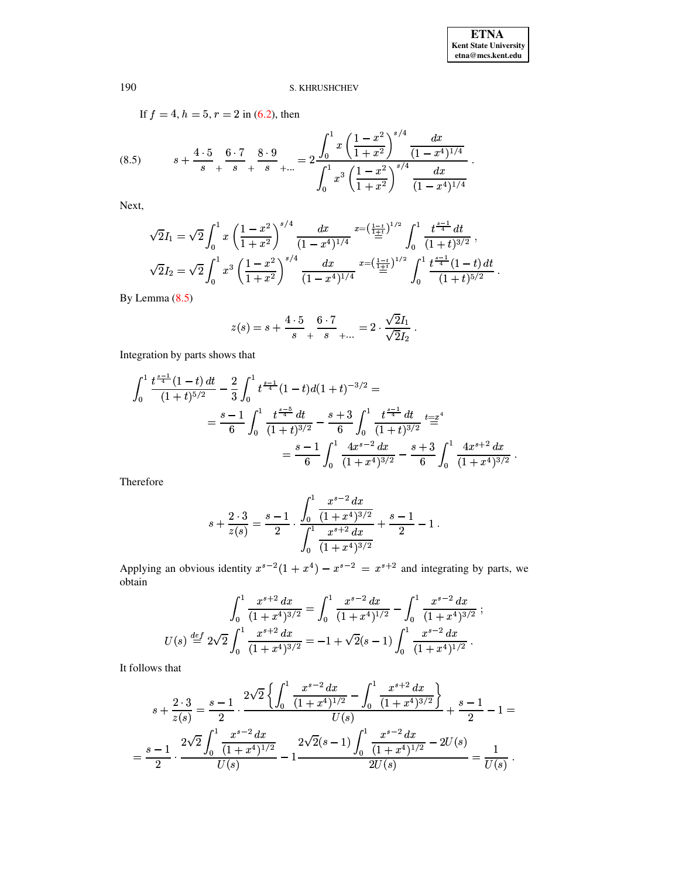<span id="page-12-0"></span>If  $f = 4$ ,  $h = 5$ ,  $r = 2$  in (6.2), then  $s + \frac{4 \cdot 5}{s} + \frac{6 \cdot 7}{s} + \frac{8 \cdot 9}{s} + \dots = 2 \frac{\int_0^1 x \left( \frac{1-x^2}{1+x^2} \right)^{s/4} \frac{dx}{(1-x^4)^{1/4}}}{\int_0^1 x^3 \left( \frac{1-x^2}{1+x^2} \right)^{s/4} \frac{dx}{(1-x^4)^{1/4}}}$  $(8.5)$ 

Next,

$$
\sqrt{2}I_1 = \sqrt{2} \int_0^1 x \left( \frac{1-x^2}{1+x^2} \right)^{s/4} \frac{dx}{(1-x^4)^{1/4}} \xrightarrow{x = \left( \frac{1-t}{1+t} \right)^{1/2}} \int_0^1 \frac{t^{\frac{s-1}{4}} dt}{(1+t)^{3/2}},
$$
  

$$
\sqrt{2}I_2 = \sqrt{2} \int_0^1 x^3 \left( \frac{1-x^2}{1+x^2} \right)^{s/4} \frac{dx}{(1-x^4)^{1/4}} \xrightarrow{x = \left( \frac{1-t}{1+t} \right)^{1/2}} \int_0^1 \frac{t^{\frac{s-1}{4}} (1-t) dt}{(1+t)^{5/2}}.
$$

By Lemma  $(8.5)$ 

$$
z(s) = s + \frac{4 \cdot 5}{s} + \frac{6 \cdot 7}{s} + \dots = 2 \cdot \frac{\sqrt{2}I_1}{\sqrt{2}I_2}.
$$

Integration by parts shows that

$$
\int_0^1 \frac{t^{\frac{s-1}{4}}(1-t) dt}{(1+t)^{5/2}} - \frac{2}{3} \int_0^1 t^{\frac{s-1}{4}}(1-t) d(1+t)^{-3/2} =
$$
  
=  $\frac{s-1}{6} \int_0^1 \frac{t^{\frac{s-5}{4}} dt}{(1+t)^{3/2}} - \frac{s+3}{6} \int_0^1 \frac{t^{\frac{s-1}{4}} dt}{(1+t)^{3/2}} t^{\frac{s-4}{4}} dt$   
=  $\frac{s-1}{6} \int_0^1 \frac{4x^{s-2} dx}{(1+x^4)^{3/2}} - \frac{s+3}{6} \int_0^1 \frac{4x^{s+2} dx}{(1+x^4)^{3/2}}.$ 

Therefore

$$
s + \frac{2 \cdot 3}{z(s)} = \frac{s-1}{2} \cdot \frac{\int_0^1 \frac{x^{s-2} dx}{(1+x^4)^{3/2}}}{\int_0^1 \frac{x^{s+2} dx}{(1+x^4)^{3/2}}} + \frac{s-1}{2} - 1.
$$

Applying an obvious identity  $x^{s-2}(1+x^4) - x^{s-2} = x^{s+2}$  and integrating by parts, we obtain

$$
\int_0^1 \frac{x^{s+2} dx}{(1+x^4)^{3/2}} = \int_0^1 \frac{x^{s-2} dx}{(1+x^4)^{1/2}} - \int_0^1 \frac{x^{s-2} dx}{(1+x^4)^{3/2}}
$$
  

$$
U(s) \stackrel{def}{=} 2\sqrt{2} \int_0^1 \frac{x^{s+2} dx}{(1+x^4)^{3/2}} = -1 + \sqrt{2}(s-1) \int_0^1 \frac{x^{s-2} dx}{(1+x^4)^{1/2}}.
$$

It follows that

$$
s + \frac{2 \cdot 3}{z(s)} = \frac{s-1}{2} \cdot \frac{2\sqrt{2} \left\{ \int_0^1 \frac{x^{s-2} dx}{(1+x^4)^{1/2}} - \int_0^1 \frac{x^{s+2} dx}{(1+x^4)^{3/2}} \right\}}{U(s)} + \frac{s-1}{2} - 1 =
$$
  
= 
$$
\frac{s-1}{2} \cdot \frac{2\sqrt{2} \int_0^1 \frac{x^{s-2} dx}{(1+x^4)^{1/2}}}{U(s)} - 1 \frac{2\sqrt{2}(s-1) \int_0^1 \frac{x^{s-2} dx}{(1+x^4)^{1/2}} - 2U(s)}{2U(s)} = \frac{1}{U(s)}.
$$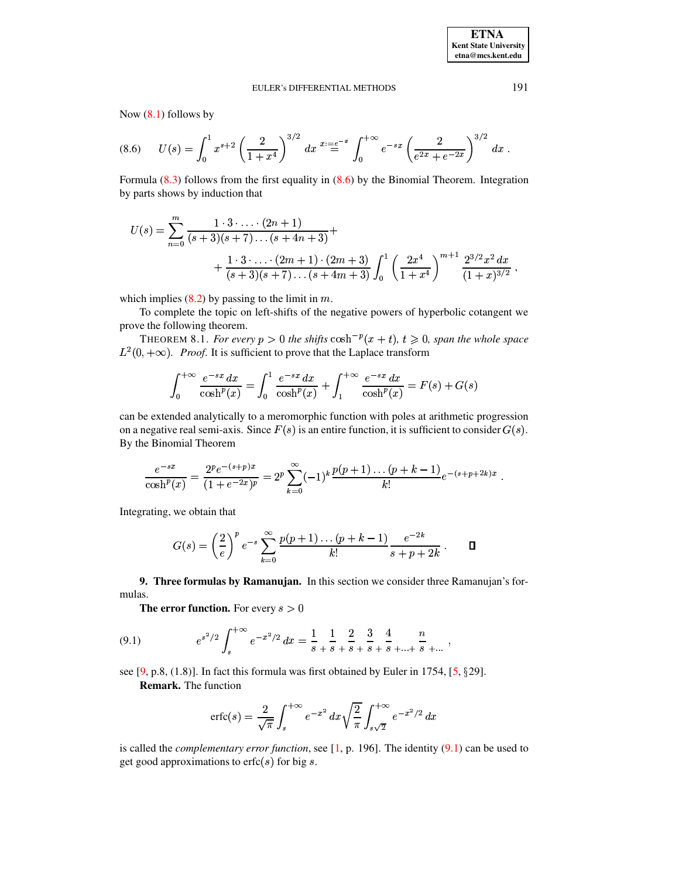<span id="page-13-1"></span>Now  $(8.1)$  follows by

$$
(8.6) \qquad U(s) = \int_0^1 x^{s+2} \left(\frac{2}{1+x^4}\right)^{3/2} dx \stackrel{x:=e^{-x}}{=} \int_0^{+\infty} e^{-sx} \left(\frac{2}{e^{2x} + e^{-2x}}\right)^{3/2} dx
$$

Formula  $(8.3)$  follows from the first equality in  $(8.6)$  by the Binomial Theorem. Integration by parts shows by induction that

$$
U(s) = \sum_{n=0}^{m} \frac{1 \cdot 3 \cdot \ldots \cdot (2n+1)}{(s+3)(s+7)\ldots (s+4n+3)} + \frac{1 \cdot 3 \cdot \ldots \cdot (2m+1) \cdot (2m+3)}{(s+3)(s+7)\ldots (s+4m+3)} \int_{0}^{1} \left(\frac{2x^{4}}{1+x^{4}}\right)^{m+1} \frac{2^{3/2}x^{2}}{(1+x)^{3/2}}.
$$

which implies  $(8.2)$  by passing to the limit in m.

To complete the topic on left-shifts of the negative powers of hyperbolic cotangent we prove the following theorem.

THEOREM 8.1. For every  $p > 0$  the shifts  $\cosh^{-p}(x + t)$ ,  $t \ge 0$ , span the whole space  $L^2(0, +\infty)$ . *Proof.* It is sufficient to prove that the Laplace transform

$$
\int_0^{+\infty} \frac{e^{-sx} dx}{\cosh^p(x)} = \int_0^1 \frac{e^{-sx} dx}{\cosh^p(x)} + \int_1^{+\infty} \frac{e^{-sx} dx}{\cosh^p(x)} = F(s) + G(s)
$$

can be extended analytically to a meromorphic function with poles at arithmetic progression on a negative real semi-axis. Since  $F(s)$  is an entire function, it is sufficient to consider  $G(s)$ . By the Binomial Theorem

$$
\frac{e^{-sx}}{\cosh^p(x)} = \frac{2^p e^{-(s+p)x}}{(1+e^{-2x})^p} = 2^p \sum_{k=0}^{\infty} (-1)^k \frac{p(p+1)\dots(p+k-1)}{k!} e^{-(s+p+2k)x}.
$$

Integrating, we obtain that

$$
G(s) = \left(\frac{2}{e}\right)^p e^{-s} \sum_{k=0}^{\infty} \frac{p(p+1)\dots(p+k-1)}{k!} \frac{e^{-2k}}{s+p+2k} . \qquad \Box
$$

<span id="page-13-0"></span>9. Three formulas by Ramanujan. In this section we consider three Ramanujan's formulas.

<span id="page-13-2"></span>**The error function.** For every  $s > 0$ 

(9.1) 
$$
e^{s^2/2} \int_s^{+\infty} e^{-x^2/2} dx = \frac{1}{s} + \frac{1}{s} + \frac{2}{s} + \frac{3}{s} + \frac{4}{s} + \dots + \frac{n}{s} + \dots
$$

see [9, p.8, (1.8)]. In fact this formula was first obtained by Euler in 1754, [5,  $\S 29$ ]. **Remark.** The function

$$
\text{erfc}(s) = \frac{2}{\sqrt{\pi}} \int_s^{+\infty} e^{-x^2} \, dx \sqrt{\frac{2}{\pi}} \int_{s\sqrt{2}}^{+\infty} e^{-x^2/2} \, dx
$$

is called the *complementary error function*, see  $[1, p. 196]$ . The identity  $(9.1)$  can be used to get good approximations to  $erfc(s)$  for big s.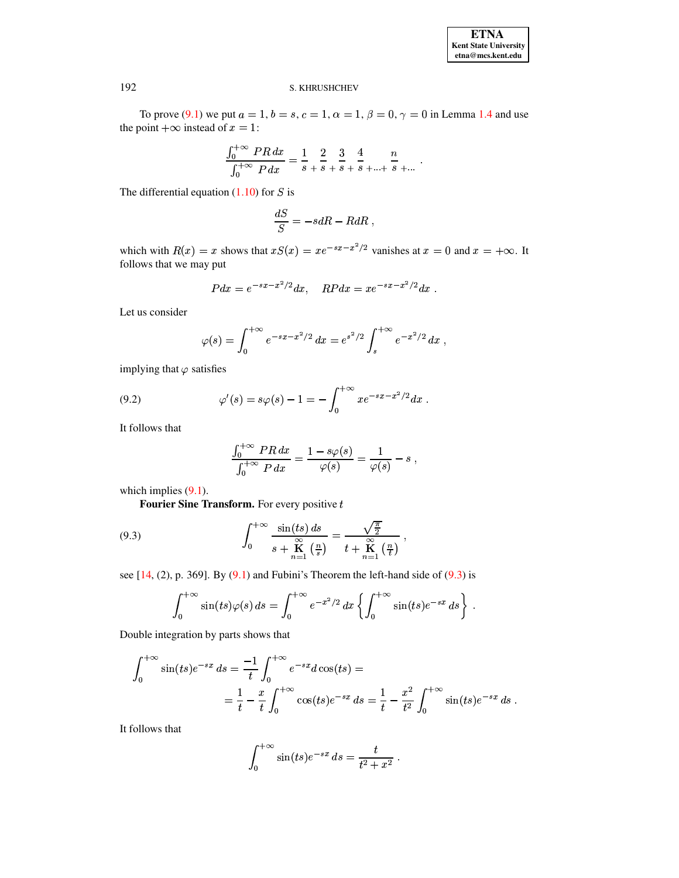To prove (9.1) we put  $a = 1$ ,  $b = s$ ,  $c = 1$ ,  $\alpha = 1$ ,  $\beta = 0$ ,  $\gamma = 0$  in Lemma 1.4 and use the point  $+\infty$  instead of  $x = 1$ :

$$
\frac{\int_0^{+\infty} PR \, dx}{\int_0^{+\infty} P \, dx} = \frac{1}{s} + \frac{2}{s} + \frac{3}{s} + \frac{4}{s} + \dots + \frac{n}{s} + \dots
$$

The differential equation  $(1.10)$  for S is

$$
\frac{dS}{S} = -sdR - RdR \; ,
$$

which with  $R(x) = x$  shows that  $xS(x) = xe^{-sx-x^2/2}$  vanishes at  $x = 0$  and  $x = +\infty$ . It follows that we may put

$$
Pdx = e^{-sx - x^2/2} dx, \quad RPdx = xe^{-sx - x^2/2} dx.
$$

Let us consider

$$
\varphi(s) = \int_0^{+\infty} e^{-sx - x^2/2} dx = e^{s^2/2} \int_s^{+\infty} e^{-x^2/2} dx ,
$$

<span id="page-14-1"></span>implying that  $\varphi$  satisfies

(9.2) 
$$
\varphi'(s) = s\varphi(s) - 1 = -\int_0^{+\infty} x e^{-sx - x^2/2} dx.
$$

It follows that

<span id="page-14-0"></span>
$$
\frac{\int_0^{+\infty} PR\,dx}{\int_0^{+\infty} P\,dx} = \frac{1 - s\varphi(s)}{\varphi(s)} = \frac{1}{\varphi(s)} - s,
$$

which implies  $(9.1)$ .

Fourier Sine Transform. For every positive  $t$ 

(9.3) 
$$
\int_0^{+\infty} \frac{\sin(ts) ds}{s + \mathbf{K} \left( \frac{n}{s} \right)} = \frac{\sqrt{\frac{\pi}{2}}}{t + \mathbf{K} \left( \frac{n}{t} \right)},
$$

see [14, (2), p. 369]. By  $(9.1)$  and Fubini's Theorem the left-hand side of  $(9.3)$  is

$$
\int_0^{+\infty} \sin(ts)\varphi(s) ds = \int_0^{+\infty} e^{-x^2/2} dx \left\{ \int_0^{+\infty} \sin(ts)e^{-sx} ds \right\}
$$

Double integration by parts shows that

$$
\int_0^{+\infty} \sin(ts) e^{-sx} ds = \frac{-1}{t} \int_0^{+\infty} e^{-sx} d\cos(ts) =
$$
  
=  $\frac{1}{t} - \frac{x}{t} \int_0^{+\infty} \cos(ts) e^{-sx} ds = \frac{1}{t} - \frac{x^2}{t^2} \int_0^{+\infty} \sin(ts) e^{-sx} ds$ 

It follows that

$$
\int_0^{+\infty} \sin(ts)e^{-sx} ds = \frac{t}{t^2 + x^2}.
$$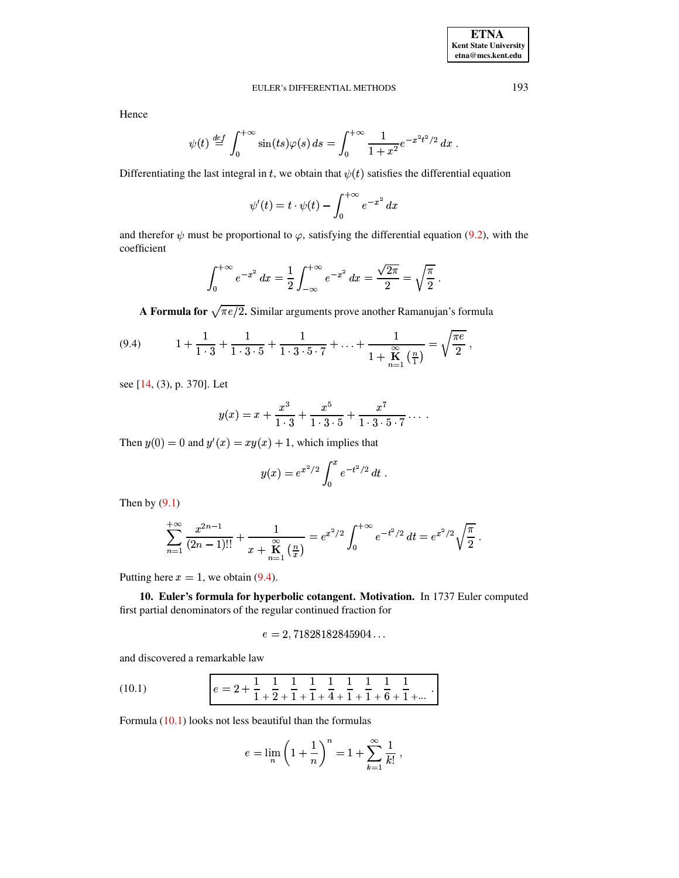Hence

$$
\psi(t) \stackrel{def}{=} \int_0^{+\infty} \sin(ts)\varphi(s) \, ds = \int_0^{+\infty} \frac{1}{1+x^2} e^{-x^2t^2/2} \, dx
$$

Differentiating the last integral in t, we obtain that  $\psi(t)$  satisfies the differential equation

<span id="page-15-0"></span>
$$
\psi'(t) = t \cdot \psi(t) - \int_0^{+\infty} e^{-x^2} dx
$$

and therefor  $\psi$  must be proportional to  $\varphi$ , satisfying the differential equation (9.2), with the coefficient

$$
\int_0^{+\infty} e^{-x^2} dx = \frac{1}{2} \int_{-\infty}^{+\infty} e^{-x^2} dx = \frac{\sqrt{2\pi}}{2} = \sqrt{\frac{\pi}{2}}.
$$

A Formula for  $\sqrt{\pi e/2}$ . Similar arguments prove another Ramanujan's formula

(9.4) 
$$
1 + \frac{1}{1 \cdot 3} + \frac{1}{1 \cdot 3 \cdot 5} + \frac{1}{1 \cdot 3 \cdot 5 \cdot 7} + \ldots + \frac{1}{1 + \mathbf{K} \left( \frac{n}{1} \right)} = \sqrt{\frac{\pi e}{2}},
$$

see [14, (3), p. 370]. Let

$$
y(x) = x + \frac{x^3}{1 \cdot 3} + \frac{x^5}{1 \cdot 3 \cdot 5} + \frac{x^7}{1 \cdot 3 \cdot 5 \cdot 7} \cdots
$$

Then  $y(0) = 0$  and  $y'(x) = xy(x) + 1$ , which implies that

$$
y(x) = e^{x^2/2} \int_0^x e^{-t^2/2} dt
$$

Then by  $(9.1)$ 

$$
\sum_{n=1}^{+\infty} \frac{x^{2n-1}}{(2n-1)!!} + \frac{1}{x + \mathbf{K} \choose \mathbf{K} \mathbf{K}} = e^{x^2/2} \int_0^{+\infty} e^{-t^2/2} dt = e^{x^2/2} \sqrt{\frac{\pi}{2}}
$$

Putting here  $x = 1$ , we obtain (9.4).

10. Euler's formula for hyperbolic cotangent. Motivation. In 1737 Euler computed first partial denominators of the regular continued fraction for

$$
e=2,71828182845904...
$$

<span id="page-15-1"></span>and discovered a remarkable law

(10.1) 
$$
e = 2 + \frac{1}{1} + \frac{1}{2} + \frac{1}{1} + \frac{1}{1} + \frac{1}{4} + \frac{1}{1} + \frac{1}{1} + \frac{1}{6} + \frac{1}{1} + \dots
$$

Formula  $(10.1)$  looks not less beautiful than the formulas

$$
e = \lim_{n} \left( 1 + \frac{1}{n} \right)^n = 1 + \sum_{k=1}^{\infty} \frac{1}{k!}
$$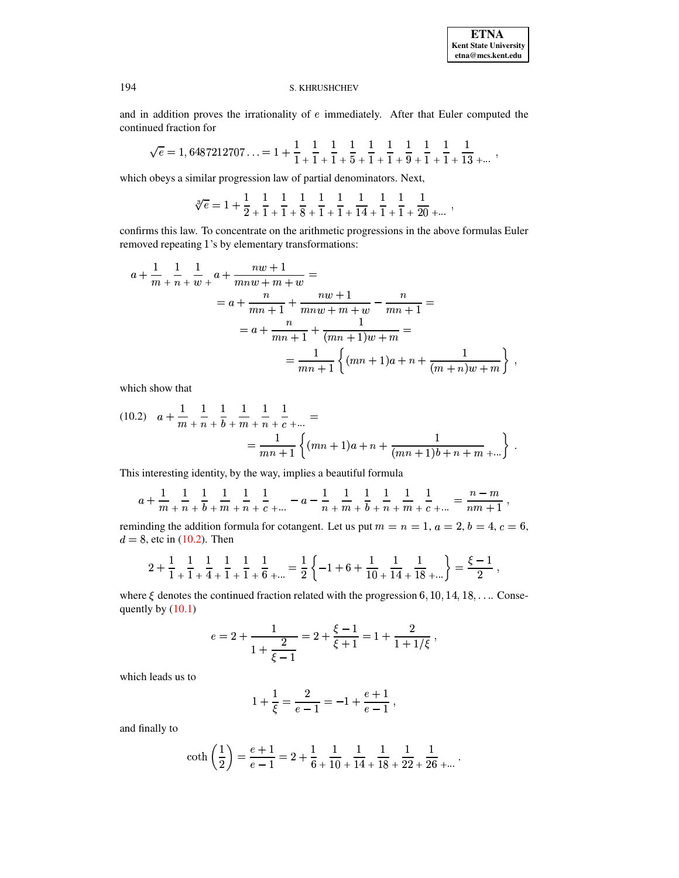$\overline{\phantom{a}}$ 

#### S. KHRUSHCHEV

and in addition proves the irrationality of  $e$  immediately. After that Euler computed the continued fraction for

$$
\sqrt{e}=1,6487212707\ldots =1+\frac{1}{1}\,\begin{matrix} \\ +\end{matrix}\, \frac{1}{1}\,\begin{matrix} \\ +\end{matrix}\, \frac{1}{1}\,\begin{matrix} \\ +\end{matrix}\, \frac{1}{5}\,\begin{matrix} \\ +\end{matrix}\, \frac{1}{1}\,\begin{matrix} \\ +\end{matrix}\, \frac{1}{1}\,\begin{matrix} \\ +\end{matrix}\, \frac{1}{1}\,\begin{matrix} \\ +\end{matrix}\, \frac{1}{1}\,\begin{matrix} \\ +\end{matrix}\, \frac{1}{1}\,\begin{matrix} \\ +\end{matrix}\, \frac{1}{13}\,\begin{matrix} \\ +\ldots \end{matrix}\,,
$$

which obeys a similar progression law of partial denominators. Next,

$$
\sqrt[3]{e} = 1 + \frac{1}{2} \,\begin{matrix} \\ + \end{matrix}\, \frac{1}{1} \,\begin{matrix} \\ + \end{matrix}\, \frac{1}{1} \,\begin{matrix} \\ + \end{matrix}\, \frac{1}{8} \,\begin{matrix} \\ + \end{matrix}\, \frac{1}{1} \,\begin{matrix} \\ + \end{matrix}\, \frac{1}{1} \,\begin{matrix} \\ + \end{matrix}\, \frac{1}{1} \,\begin{matrix} \\ + \end{matrix}\, \frac{1}{1} \,\begin{matrix} \\ + \end{matrix}\, \frac{1}{1} \,\begin{matrix} \\ + \end{matrix}\, \frac{1}{20} \,\begin{matrix} \\ + \end{matrix} \,.
$$

confirms this law. To concentrate on the arithmetic progressions in the above formulas Euler removed repeating 1's by elementary transformations:

$$
a + \frac{1}{m} + \frac{1}{n} + \frac{1}{w} + \frac{nw + 1}{mw + m + w} =
$$
  
=  $a + \frac{n}{mn + 1} + \frac{nw + 1}{mnw + m + w} - \frac{n}{mn + 1} =$   
=  $a + \frac{n}{mn + 1} + \frac{1}{(mn + 1)w + m} =$   
=  $\frac{1}{mn + 1} \left\{ (mn + 1)a + n + \frac{1}{(m + n)w + m} \right\},$ 

which show that

<span id="page-16-0"></span>
$$
(10.2) \quad a + \frac{1}{m} + \frac{1}{n} + \frac{1}{b} + \frac{1}{m} + \frac{1}{n} + \frac{1}{c} + \dots =
$$
\n
$$
= \frac{1}{mn+1} \left\{ (mn+1)a + n + \frac{1}{(mn+1)b + n + m} + \dots \right\}.
$$

This interesting identity, by the way, implies a beautiful formula

$$
a+\frac{1}{m}\,\begin{matrix} \\ +\end{matrix}\, \frac{1}{n}\,\begin{matrix} \\ +\end{matrix}\, \frac{1}{m}\,\begin{matrix} \\ +\end{matrix}\, \frac{1}{n}\,\begin{matrix} \\ +\end{matrix}\, \frac{1}{c}\,\begin{matrix} \\ +\end{matrix}\, \cdots \, -a-\frac{1}{n}\,\begin{matrix} \\ +\end{matrix}\, \frac{1}{m}\,\begin{matrix} \\ +\end{matrix}\,\frac{1}{b}\,\begin{matrix} \\ +\end{matrix}\,\frac{1}{m}\,\begin{matrix} \\ +\end{matrix}\,\frac{1}{c}\,\begin{matrix} \\ +\end{matrix}\, \cdots \, =\frac{n-m}{nm+1}
$$

reminding the addition formula for cotangent. Let us put  $m = n = 1$ ,  $a = 2$ ,  $b = 4$ ,  $c = 6$ ,  $d = 8$ , etc in (10.2). Then

$$
2 + \frac{1}{1+} \frac{1}{1+} \frac{1}{4+} \frac{1}{1+} \frac{1}{1+} \frac{1}{6+} \dots = \frac{1}{2} \left\{ -1 + 6 + \frac{1}{10} + \frac{1}{14} + \frac{1}{18+} \dots \right\} = \frac{\xi - 1}{2} \,,
$$

where  $\xi$  denotes the continued fraction related with the progression 6, 10, 14, 18, ... Consequently by  $(10.1)$ 

$$
e = 2 + \frac{1}{1 + \frac{2}{\xi - 1}} = 2 + \frac{\xi - 1}{\xi + 1} = 1 + \frac{2}{1 + 1/\xi}
$$
,

which leads us to

$$
1 + \frac{1}{\xi} = \frac{2}{e - 1} = -1 + \frac{e + 1}{e - 1} ,
$$

and finally to

$$
\coth\left(\frac{1}{2}\right) = \frac{e+1}{e-1} = 2 + \frac{1}{6} + \frac{1}{10} + \frac{1}{14} + \frac{1}{18} + \frac{1}{22} + \frac{1}{26} + \dots
$$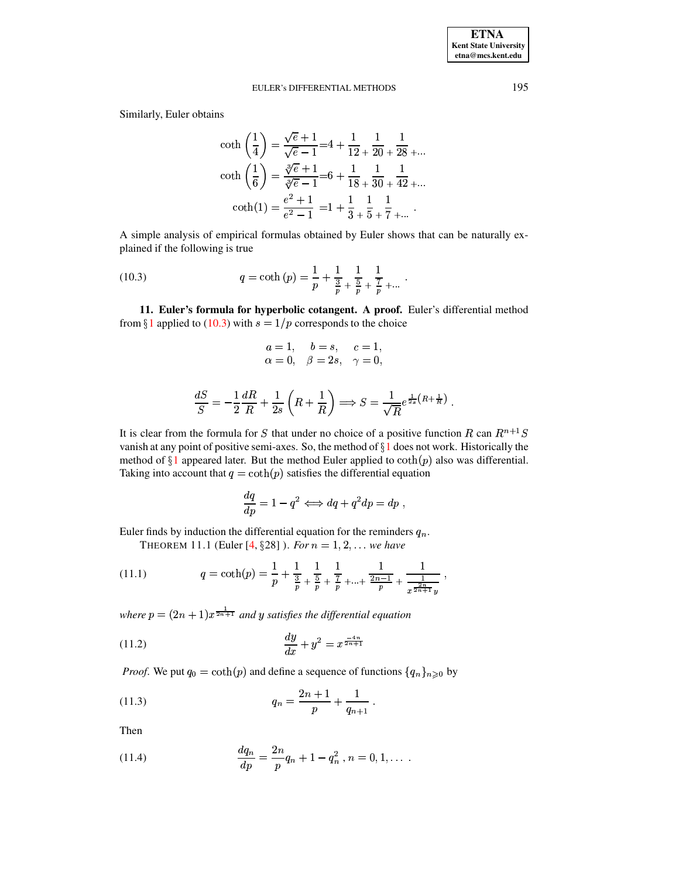Similarly, Euler obtains

$$
\coth\left(\frac{1}{4}\right) = \frac{\sqrt{e} + 1}{\sqrt{e} - 1} = 4 + \frac{1}{12} + \frac{1}{20} + \frac{1}{28} + \dots
$$

$$
\coth\left(\frac{1}{6}\right) = \frac{\sqrt[3]{e} + 1}{\sqrt[3]{e} - 1} = 6 + \frac{1}{18} + \frac{1}{30} + \frac{1}{42} + \dots
$$

$$
\coth(1) = \frac{e^2 + 1}{e^2 - 1} = 1 + \frac{1}{3} + \frac{1}{5} + \frac{1}{7} + \dots
$$

<span id="page-17-0"></span>A simple analysis of empirical formulas obtained by Euler shows that can be naturally explained if the following is true

(10.3) 
$$
q = \coth(p) = \frac{1}{p} + \frac{1}{\frac{3}{p}} + \frac{1}{\frac{5}{p}} + \frac{1}{\frac{7}{p}} + \dots
$$

11. Euler's formula for hyperbolic cotangent. A proof. Euler's differential method from §1 applied to (10.3) with  $s = 1/p$  corresponds to the choice

$$
\begin{array}{ll}\n a = 1, & b = s, & c = 1, \\
\alpha = 0, & \beta = 2s, & \gamma = 0,\n\end{array}
$$

$$
\frac{dS}{S} = -\frac{1}{2}\frac{dR}{R} + \frac{1}{2s}\left(R + \frac{1}{R}\right) \Longrightarrow S = \frac{1}{\sqrt{R}}e^{\frac{1}{2s}(R + \frac{1}{R})}
$$

It is clear from the formula for S that under no choice of a positive function R can  $R^{n+1}S$ vanish at any point of positive semi-axes. So, the method of  $\S1$  does not work. Historically the method of §1 appeared later. But the method Euler applied to  $\coth(p)$  also was differential. Taking into account that  $q = \coth(p)$  satisfies the differential equation

<span id="page-17-4"></span><span id="page-17-3"></span><span id="page-17-2"></span>
$$
\frac{dq}{dp} = 1 - q^2 \Longleftrightarrow dq + q^2 dp = dp,
$$

Euler finds by induction the differential equation for the reminders  $q_n$ . THEOREM 11.1 (Euler [4, §28]). For  $n = 1, 2, ...$  we have

(11.1) 
$$
q = \coth(p) = \frac{1}{p} + \frac{1}{\frac{3}{p}} + \frac{1}{\frac{5}{p}} + \frac{1}{\frac{7}{p}} + \dots + \frac{1}{\frac{2n-1}{p}} + \frac{1}{\frac{2n}{x^{\frac{2n}{2n+1}}y}},
$$

where  $p = (2n + 1)x^{\frac{1}{2n+1}}$  and y satisfies the differential equation

(11.2) 
$$
\frac{dy}{dx} + y^2 = x^{\frac{-4n}{2n+1}}
$$

*Proof.* We put  $q_0 = \coth(p)$  and define a sequence of functions  $\{q_n\}_{n\geq 0}$  by

(11.3) 
$$
q_n = \frac{2n+1}{p} + \frac{1}{q_{n+1}}.
$$

<span id="page-17-1"></span>Then

(11.4) 
$$
\frac{dq_n}{dp} = \frac{2n}{p}q_n + 1 - q_n^2, n = 0, 1, \dots
$$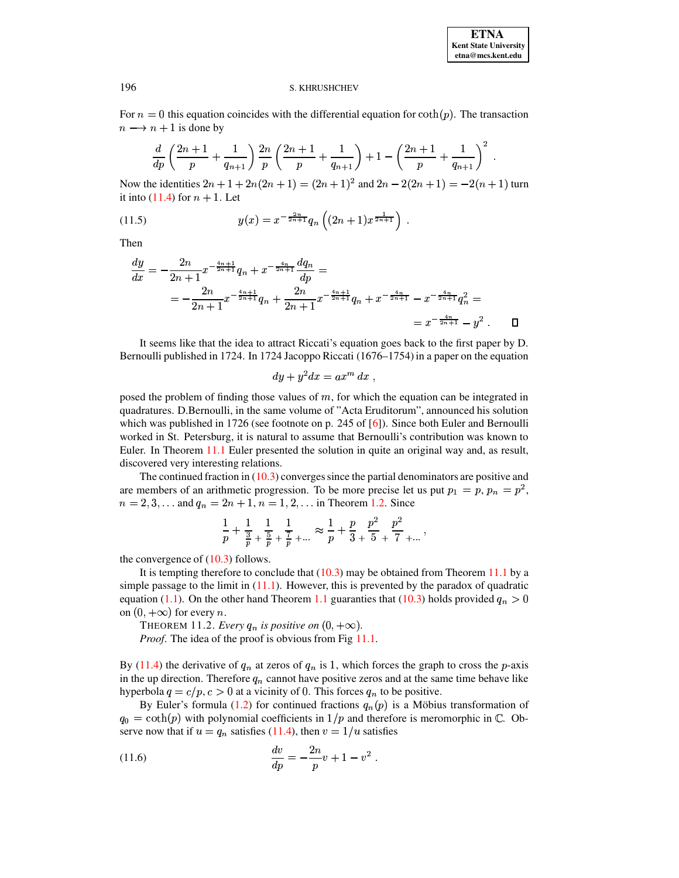For  $n = 0$  this equation coincides with the differential equation for  $\coth(p)$ . The transaction  $n \longrightarrow n + 1$  is done by

$$
\frac{d}{dp}\left(\frac{2n+1}{p} + \frac{1}{q_{n+1}}\right)\frac{2n}{p}\left(\frac{2n+1}{p} + \frac{1}{q_{n+1}}\right) + 1 - \left(\frac{2n+1}{p} + \frac{1}{q_{n+1}}\right)^2
$$

Now the identities  $2n + 1 + 2n(2n + 1) = (2n + 1)^2$  and  $2n - 2(2n + 1) = -2(n + 1)$  turn it into  $(11.4)$  for  $n + 1$ . Let

(11.5) 
$$
y(x) = x^{-\frac{2n}{2n+1}} q_n \left( (2n+1)x^{\frac{1}{2n+1}} \right).
$$

Then

$$
\frac{dy}{dx} = -\frac{2n}{2n+1}x^{-\frac{4n+1}{2n+1}}q_n + x^{-\frac{4n}{2n+1}}\frac{dq_n}{dp} =
$$
\n
$$
= -\frac{2n}{2n+1}x^{-\frac{4n+1}{2n+1}}q_n + \frac{2n}{2n+1}x^{-\frac{4n+1}{2n+1}}q_n + x^{-\frac{4n}{2n+1}} - x^{-\frac{4n}{2n+1}}q_n^2 =
$$
\n
$$
= x^{-\frac{4n}{2n+1}} - y^2.
$$

It seems like that the idea to attract Riccati's equation goes back to the first paper by D. Bernoulli published in 1724. In 1724 Jacoppo Riccati (1676–1754) in a paper on the equation

$$
dy + y^2 dx = ax^m dx
$$

posed the problem of finding those values of  $m$ , for which the equation can be integrated in quadratures. D.Bernoulli, in the same volume of "Acta Eruditorum", announced his solution which was published in 1726 (see footnote on p. 245 of  $[6]$ ). Since both Euler and Bernoulli worked in St. Petersburg, it is natural to assume that Bernoulli's contribution was known to Euler. In Theorem 11.1 Euler presented the solution in quite an original way and, as result, discovered very interesting relations.

The continued fraction in  $(10.3)$  converges since the partial denominators are positive and are members of an arithmetic progression. To be more precise let us put  $p_1 = p$ ,  $p_n = p^2$ ,  $n = 2, 3, \dots$  and  $q_n = 2n + 1, n = 1, 2, \dots$  in Theorem 1.2. Since

$$
\frac{1}{p}+\frac{1}{\frac{3}{p}}+\frac{1}{\frac{5}{p}}+\frac{1}{\frac{7}{p}}+... \; \approx \frac{1}{p}+\frac{p}{3}+\frac{p^2}{5}+\frac{p^2}{7}+...\;,
$$

the convergence of  $(10.3)$  follows.

It is tempting therefore to conclude that  $(10.3)$  may be obtained from Theorem 11.1 by a simple passage to the limit in  $(11.1)$ . However, this is prevented by the paradox of quadratic equation (1.1). On the other hand Theorem 1.1 guaranties that (10.3) holds provided  $q_n > 0$ on  $(0, +\infty)$  for every *n*.

<span id="page-18-0"></span>THEOREM 11.2. Every  $q_n$  is positive on  $(0, +\infty)$ .

*Proof.* The idea of the proof is obvious from Fig 11.1.

By (11.4) the derivative of  $q_n$  at zeros of  $q_n$  is 1, which forces the graph to cross the *p*-axis in the up direction. Therefore  $q_n$  cannot have positive zeros and at the same time behave like hyperbola  $q = c/p$ ,  $c > 0$  at a vicinity of 0. This forces  $q_n$  to be positive.

By Euler's formula (1.2) for continued fractions  $q_n(p)$  is a Möbius transformation of  $q_0 = \coth(p)$  with polynomial coefficients in  $1/p$  and therefore is meromorphic in  $\mathbb{C}$ . Observe now that if  $u = q_n$  satisfies (11.4), then  $v = 1/u$  satisfies

(11.6) 
$$
\frac{dv}{dp} = -\frac{2n}{p}v + 1 - v^2.
$$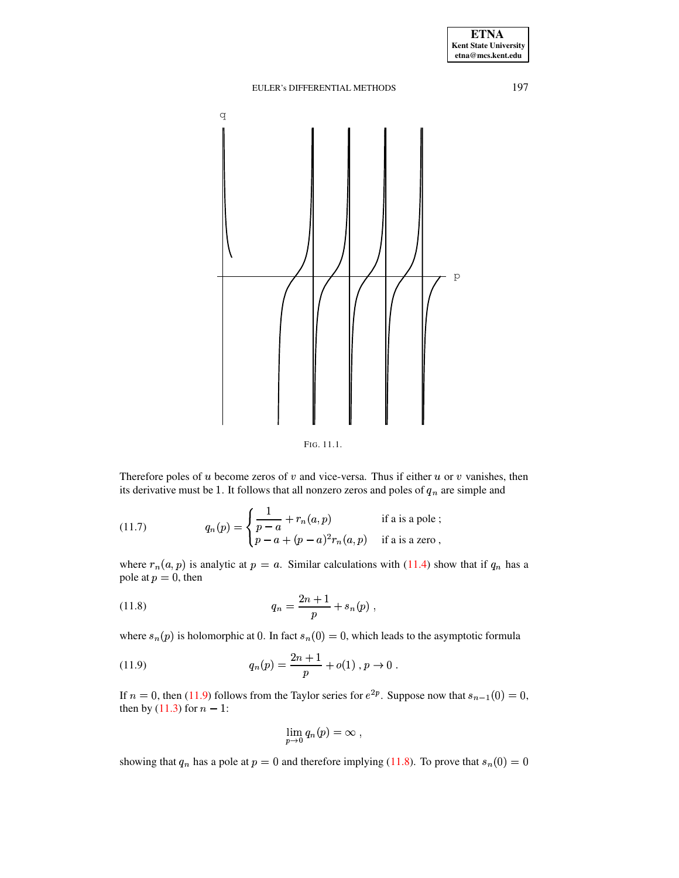

<span id="page-19-3"></span><span id="page-19-0"></span>FIG. 11.1.

Therefore poles of  $u$  become zeros of  $v$  and vice-versa. Thus if either  $u$  or  $v$  vanishes, then its derivative must be 1. It follows that all nonzero zeros and poles of  $q_n$  are simple and

(11.7) 
$$
q_n(p) = \begin{cases} \frac{1}{p-a} + r_n(a, p) & \text{if a is a pole }; \\ p-a + (p-a)^2 r_n(a, p) & \text{if a is a zero }, \end{cases}
$$

<span id="page-19-2"></span>where  $r_n(a, p)$  is analytic at  $p = a$ . Similar calculations with (11.4) show that if  $q_n$  has a pole at  $p = 0$ , then

(11.8) 
$$
q_n = \frac{2n+1}{p} + s_n(p) ,
$$

where  $s_n(p)$  is holomorphic at 0. In fact  $s_n(0) = 0$ , which leads to the asymptotic formula

(11.9) 
$$
q_n(p) = \frac{2n+1}{p} + o(1), p \to 0.
$$

If  $n = 0$ , then (11.9) follows from the Taylor series for  $e^{2p}$ . Suppose now that  $s_{n-1}(0) = 0$ , then by  $(11.3)$  for  $n - 1$ :

<span id="page-19-1"></span>
$$
\lim_{p\to 0} q_n(p) = \infty ,
$$

showing that  $q_n$  has a pole at  $p = 0$  and therefore implying (11.8). To prove that  $s_n(0) = 0$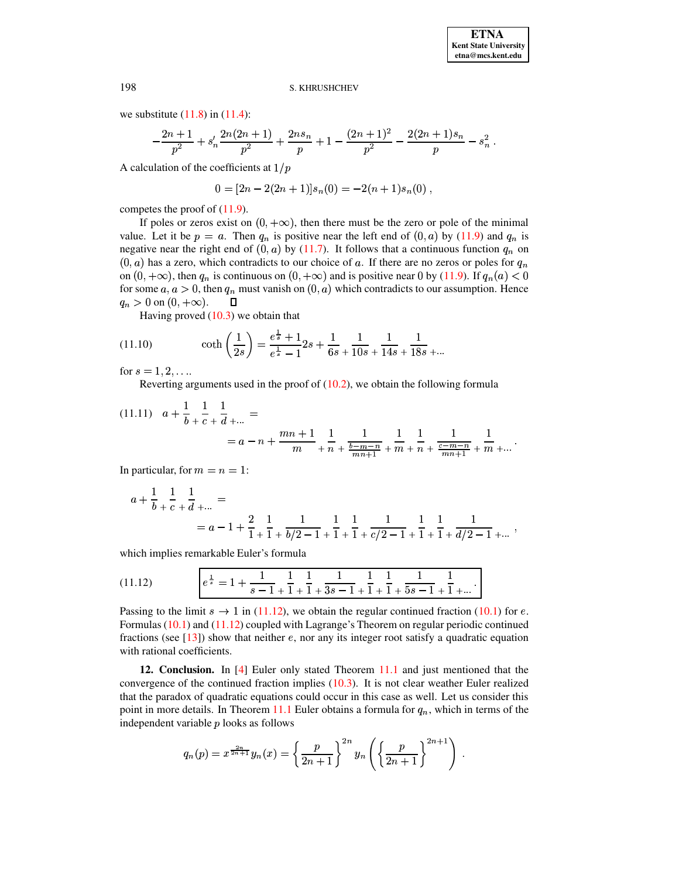we substitute  $(11.8)$  in  $(11.4)$ :

$$
-\frac{2n+1}{p^2} + s'_n \frac{2n(2n+1)}{p^2} + \frac{2ns_n}{p} + 1 - \frac{(2n+1)^2}{p^2} - \frac{2(2n+1)s_n}{p} - s_n^2.
$$

A calculation of the coefficients at  $1/p$ 

$$
0 = [2n - 2(2n + 1)]s_n(0) = -2(n + 1)s_n(0) ,
$$

competes the proof of  $(11.9)$ .

If poles or zeros exist on  $(0, +\infty)$ , then there must be the zero or pole of the minimal value. Let it be  $p = a$ . Then  $q_n$  is positive near the left end of  $(0, a)$  by (11.9) and  $q_n$  is negative near the right end of  $(0, a)$  by (11.7). It follows that a continuous function  $q_n$  on  $(0, a)$  has a zero, which contradicts to our choice of a. If there are no zeros or poles for  $q_n$ on  $(0, +\infty)$ , then  $q_n$  is continuous on  $(0, +\infty)$  and is positive near 0 by (11.9). If  $q_n(a) < 0$ for some  $a, a > 0$ , then  $q_n$  must vanish on  $(0, a)$  which contradicts to our assumption. Hence  $q_n > 0$  on  $(0, +\infty)$ .  $\Box$ 

Having proved  $(10.3)$  we obtain that

(11.10) 
$$
\coth\left(\frac{1}{2s}\right) = \frac{e^{\frac{1}{s}} + 1}{e^{\frac{1}{s}} - 1} 2s + \frac{1}{6s} + \frac{1}{10s} + \frac{1}{14s} + \frac{1}{18s} + \dots
$$

for  $s = 1, 2, ...$ 

Reverting arguments used in the proof of  $(10.2)$ , we obtain the following formula

$$
(11.11) \quad a + \frac{1}{b} + \frac{1}{c} + \frac{1}{d} + \dots =
$$
\n
$$
= a - n + \frac{mn + 1}{m} + \frac{1}{n} + \frac{1}{\frac{b - m - n}{mn + 1}} + \frac{1}{m} + \frac{1}{n} + \frac{1}{\frac{c - m - n}{mn + 1}} + \frac{1}{m} + \dots
$$

In particular, for  $m = n = 1$ :

$$
a + \frac{1}{b} + \frac{1}{c} + \frac{1}{d} + \dots =
$$
  
=  $a - 1 + \frac{2}{1} + \frac{1}{1} + \frac{1}{b/2 - 1} + \frac{1}{1} + \frac{1}{1} + \frac{1}{c/2 - 1} + \frac{1}{1} + \frac{1}{d/2 - 1} + \dots$ 

<span id="page-20-0"></span>which implies remarkable Euler's formula

(11.12) 
$$
e^{\frac{1}{s}} = 1 + \frac{1}{s-1} + \frac{1}{1} + \frac{1}{1} + \frac{1}{3s-1} + \frac{1}{1} + \frac{1}{5s-1} + \frac{1}{1} + \dots
$$

Passing to the limit  $s \to 1$  in (11.12), we obtain the regular continued fraction (10.1) for e. Formulas  $(10.1)$  and  $(11.12)$  coupled with Lagrange's Theorem on regular periodic continued fractions (see  $[13]$ ) show that neither e, nor any its integer root satisfy a quadratic equation with rational coefficients.

12. Conclusion. In [4] Euler only stated Theorem 11.1 and just mentioned that the convergence of the continued fraction implies  $(10.3)$ . It is not clear weather Euler realized that the paradox of quadratic equations could occur in this case as well. Let us consider this point in more details. In Theorem 11.1 Euler obtains a formula for  $q_n$ , which in terms of the independent variable  $p$  looks as follows

$$
q_n(p) = x^{\frac{2n}{2n+1}} y_n(x) = \left\{ \frac{p}{2n+1} \right\}^{2n} y_n \left( \left\{ \frac{p}{2n+1} \right\}^{2n+1} \right) .
$$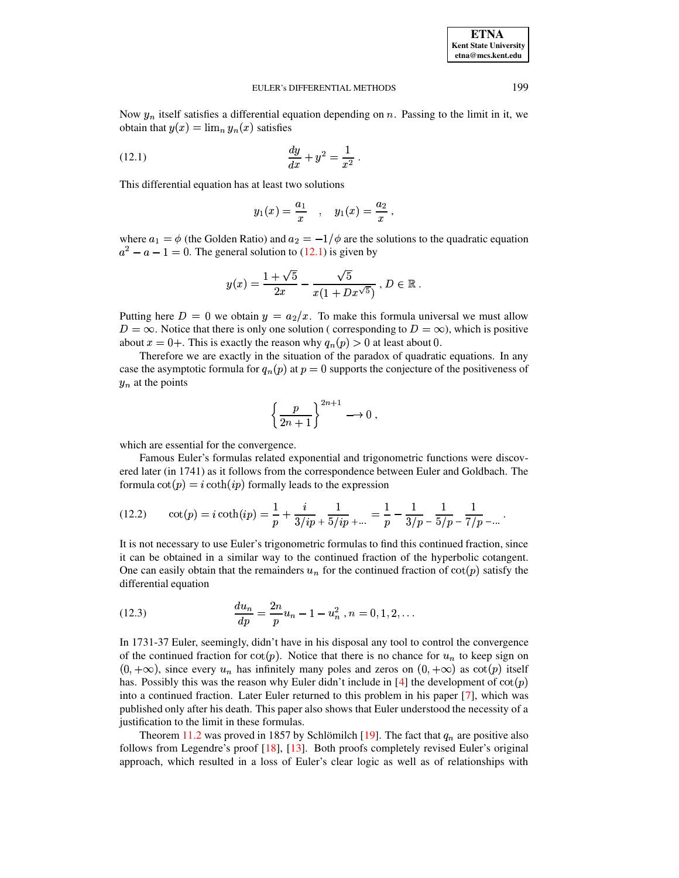**ETNA Kent State University etna@mcs.kent.edu**

#### <span id="page-21-0"></span>EULER's DIFFERENTIAL METHODS 199

Now  $y_n$  itself satisfies a differential equation depending on n. Passing to the limit in it, we obtain that  $y(x) = \lim_{n} y_n(x)$  satisfies

(12.1) 
$$
\frac{dy}{dx} + y^2 = \frac{1}{x^2}.
$$

This differential equation has at least two solutions

$$
y_1(x) = \frac{a_1}{x}
$$
,  $y_1(x) = \frac{a_2}{x}$ ,

where  $a_1 = \phi$  (the Golden Ratio) and  $a_2 = -1/\phi$  are the solutions to the quadratic equation  $x^2 - a - 1 = 0$ . The general solution to [\(12.1\)](#page-21-0) is given by

$$
y(x) = \frac{1 + \sqrt{5}}{2x} - \frac{\sqrt{5}}{x(1 + Dx^{\sqrt{5}})}, D \in \mathbb{R}.
$$

Putting here  $D = 0$  we obtain  $y = a_2/x$ . To make this formula universal we must allow  $D = \infty$ . Notice that there is only one solution ( corresponding to  $D = \infty$ ), which is positive about  $x = 0+$ . This is exactly the reason why  $q_n(p) > 0$  at least about 0.

Therefore we are exactly in the situation of the paradox of quadratic equations. In any case the asymptotic formula for  $q_n(p)$  at  $p=0$  supports the conjecture of the positiveness of  $y_n$  at the points

$$
\left\{\frac{p}{2n+1}\right\}^{2n+1} \longrightarrow 0 ,
$$

which are essential for the convergence.

Famous Euler's formulas related exponential and trigonometric functions were discovered later (in 1741) as it follows from the correspondence between Euler and Goldbach. The formula  $\cot(p) = i \coth(ip)$  formally leads to the expression

(12.2) 
$$
\cot(p) = i \coth(ip) = \frac{1}{p} + \frac{i}{3/ip} + \frac{1}{5/ip} + \dots = \frac{1}{p} - \frac{1}{3/p} - \frac{1}{5/p} - \frac{1}{7/p} - \dots
$$

It is not necessary to use Euler's trigonometric formulas to find this continued fraction, since it can be obtained in a similar way to the continued fraction of the hyperbolic cotangent. One can easily obtain that the remainders  $u_n$  for the continued fraction of  $cot(p)$  satisfy the differential equation

(12.3) 
$$
\frac{du_n}{dp} = \frac{2n}{p}u_n - 1 - u_n^2, n = 0, 1, 2, ...
$$

In 1731-37 Euler, seemingly, didn't have in his disposal any tool to control the convergence of the continued fraction for  $cot(p)$ . Notice that there is no chance for  $u_n$  to keep sign on  $(0, +\infty)$ , since every  $u_n$  has infinitely many poles and zeros on  $(0, +\infty)$  as  $\cot(p)$  itself has. Possibly this was the reason why Euler didn't include in [\[4\]](#page-22-0) the development of  $cot(p)$ into a continued fraction. Later Euler returned to this problem in his paper [\[7\]](#page-22-15), which was published only after his death. This paper also shows that Euler understood the necessity of a justification to the limit in these formulas.

Theorem [11.2](#page-18-0) was proved in 1857 by Schlömilch [\[19\]](#page-22-16). The fact that  $q_n$  are positive also follows from Legendre's proof [\[18\]](#page-22-17), [\[13\]](#page-22-14). Both proofs completely revised Euler's original approach, which resulted in a loss of Euler's clear logic as well as of relationships with